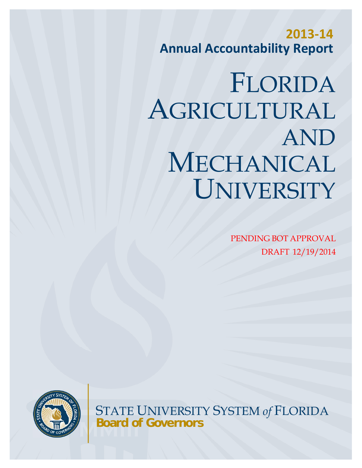**2013‐14 Annual Accountability Report**

# FLORIDA AGRICULTURAL AND MECHANICAL UNIVERSITY

PENDING BOT APPROVAL DRAFT 12/19/2014



STATE UNIVERSITY SYSTEM *of* FLORIDA **Board of Governors**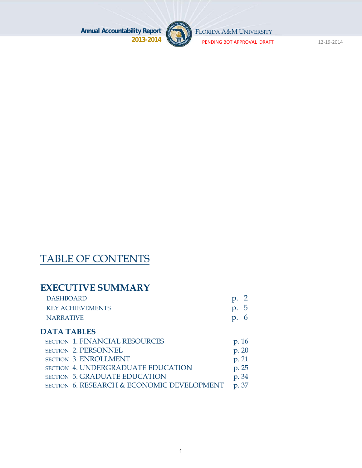

FLORIDA A&M UNIVERSITY

PENDING BOT APPROVAL DRAFT 12‐19‐2014

# TABLE OF CONTENTS

# **EXECUTIVE SUMMARY**

| <b>DASHBOARD</b>        | $p. \, 2$   |
|-------------------------|-------------|
| <b>KEY ACHIEVEMENTS</b> | p.5         |
| NARRATIVE               | $p_{\cdot}$ |

#### **DATA TABLES**

| <b>SECTION 1. FINANCIAL RESOURCES</b>      | p. 16 |
|--------------------------------------------|-------|
| <b>SECTION 2. PERSONNEL</b>                | p. 20 |
| <b>SECTION 3. ENROLLMENT</b>               | p. 21 |
| <b>SECTION 4. UNDERGRADUATE EDUCATION</b>  | p. 25 |
| <b>SECTION 5. GRADUATE EDUCATION</b>       | p. 34 |
| SECTION 6. RESEARCH & ECONOMIC DEVELOPMENT | p. 37 |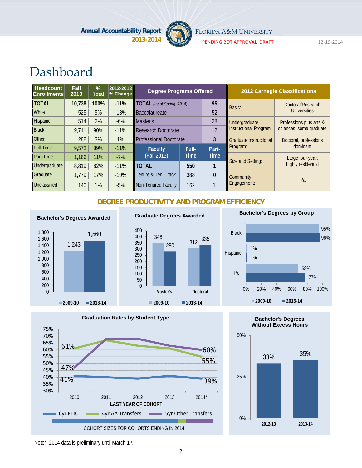

FLORIDA A&M UNIVERSITY

PENDING BOT APPROVAL DRAFT 12‐19‐2014

# Dashboard

| <b>Headcount</b><br><b>Enrollments</b> | <b>Fall</b><br>2013 | $\frac{0}{0}$<br><b>Total</b> | 2012-2013<br>% Change | <b>Degree Programs Offered</b>   |       |                        |                               | <b>2012 Carnegie Classifications</b> |
|----------------------------------------|---------------------|-------------------------------|-----------------------|----------------------------------|-------|------------------------|-------------------------------|--------------------------------------|
| <b>TOTAL</b>                           | 10,738              | 100%                          | $-11%$                | <b>TOTAL</b> (as of Spring 2014) |       | 95                     | Basic:                        | Doctoral/Research                    |
| <b>White</b>                           | 525                 | 5%                            | $-13%$                | <b>Baccalaureate</b>             |       | 52                     |                               | Universities                         |
| Hispanic                               | 514                 | 2%                            | $-6%$                 | Master's                         |       | 28                     | Undergraduate                 | Professions plus arts &              |
| <b>Black</b>                           | 9.711               | 90%                           | $-11%$                | 12<br><b>Research Doctorate</b>  |       | Instructional Program: | sciences, some graduate       |                                      |
| <b>Other</b>                           | 288                 | 3%                            | $1\%$                 | <b>Professional Doctorate</b>    |       | 3                      | <b>Graduate Instructional</b> | Doctoral, professions                |
| <b>Full-Time</b>                       | 9,572               | 89%                           | $-11%$                | <b>Faculty</b>                   | Full- | Part-                  | Program:                      | dominant                             |
| Part-Time                              | 1,166               | 11%                           | $-7%$                 | (Fall 2013)                      | Time  | <b>Time</b>            | Size and Setting:             | Large four-year,                     |
| Undergraduate                          | 8,819               | 82%                           | $-11%$                | <b>TOTAL</b>                     | 550   |                        |                               | highly residential                   |
| Graduate                               | 1,779               | 17%                           | $-10%$                | Tenure & Ten. Track              | 388   | $\theta$               | Community                     |                                      |
| Unclassified                           | 140                 | 1%                            | $-5%$                 | Non-Tenured Faculty              | 162   |                        | Engagement:                   | n/a                                  |

#### **DEGREE PRODUCTIVITY AND PROGRAM EFFICIENCY**



#### 348 <sup>312</sup> <sup>280</sup> 335 0 50 100 150 200 250 300 350 400 450

**Graduate Degrees Awarded**

**2009-10 2013-14**

**Master's Doctoral**

#### **Bachelor's Degrees by Group**







Note\*: 2014 data is preliminary until March 1st.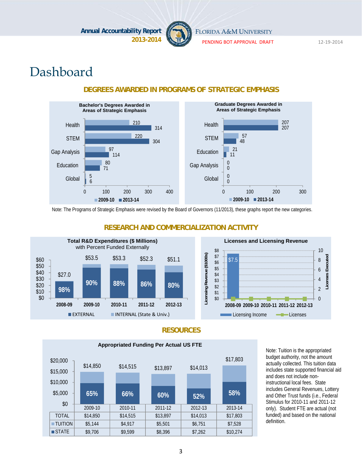

FLORIDA A&M UNIVERSITY

PENDING BOT APPROVAL DRAFT 12‐19‐2014

# Dashboard



#### **DEGREES AWARDED IN PROGRAMS OF STRATEGIC EMPHASIS**

Note: The Programs of Strategic Emphasis were revised by the Board of Governors (11/2013), these graphs report the new categories.



#### **RESEARCH AND COMMERCIALIZATION ACTIVITY**



#### **RESOURCES**



Note: Tuition is the appropriated budget authority, not the amount actually collected. This tuition data includes state supported financial aid and does not include noninstructional local fees. State includes General Revenues, Lottery and Other Trust funds (i.e., Federal Stimulus for 2010-11 and 2011-12 only). Student FTE are actual (not funded) and based on the national definition.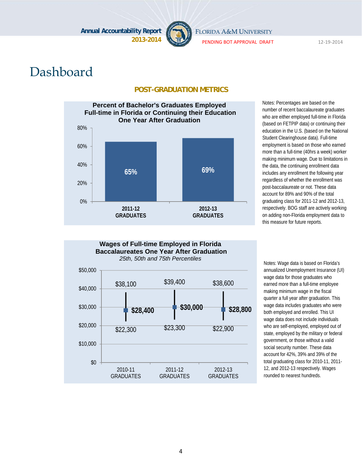

FLORIDA A&M UNIVERSITY

PENDING BOT APPROVAL DRAFT 12‐19‐2014

# Dashboard

#### **POST-GRADUATION METRICS**



Notes: Percentages are based on the number of recent baccalaureate graduates who are either employed full-time in Florida (based on FETPIP data) or continuing their education in the U.S. (based on the National Student Clearinghouse data). Full-time employment is based on those who earned more than a full-time (40hrs a week) worker making minimum wage. Due to limitations in the data, the continuing enrollment data includes any enrollment the following year regardless of whether the enrollment was post-baccalaureate or not. These data account for 89% and 90% of the total graduating class for 2011-12 and 2012-13, respectively. BOG staff are actively working on adding non-Florida employment data to this measure for future reports.



annualized Unemployment Insurance (UI) wage data for those graduates who earned more than a full-time employee making minimum wage in the fiscal quarter a full year after graduation. This wage data includes graduates who were both employed and enrolled. This UI wage data does not include individuals who are self-employed, employed out of state, employed by the military or federal government, or those without a valid social security number. These data account for 42%, 39% and 39% of the total graduating class for 2010-11, 2011- 12, and 2012-13 respectively. Wages rounded to nearest hundreds.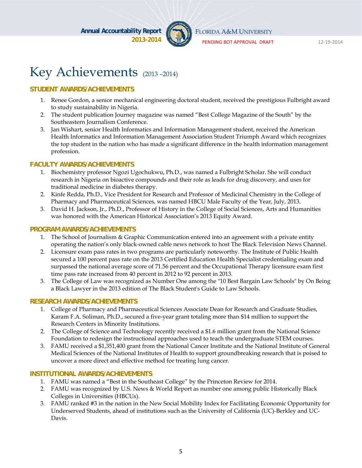

FLORIDA A&M UNIVERSITY

PENDING BOT APPROVAL DRAFT 12‐19‐2014

# Key Achievements (2013 –2014)

#### **STUDENT AWARDS/ACHIEVEMENTS**

- 1. Renee Gordon, a senior mechanical engineering doctoral student, received the prestigious Fulbright award to study sustainability in Nigeria.
- 2. The student publication Journey magazine was named "Best College Magazine of the South" by the Southeastern Journalism Conference.
- 3. Jan Wishart, senior Health Informatics and Information Management student, received the American Health Informatics and Information Management Association Student Triumph Award which recognizes the top student in the nation who has made a significant difference in the health information management profession.

#### **FACULTY AWARDS/ACHIEVEMENTS**

- 1. Biochemistry professor Ngozi Ugochukwu, Ph.D., was named a Fulbright Scholar. She will conduct research in Nigeria on bioactive compounds and their role as leads for drug discovery, and uses for traditional medicine in diabetes therapy.
- 2. Kinfe Redda, Ph.D., Vice President for Research and Professor of Medicinal Chemistry in the College of Pharmacy and Pharmaceutical Sciences, was named HBCU Male Faculty of the Year, July, 2013.
- 3. David H. Jackson, Jr., Ph.D., Professor of History in the College of Social Sciences, Arts and Humanities was honored with the American Historical Association's 2013 Equity Award.

#### **PROGRAM AWARDS/ACHIEVEMENTS**

- 1. The School of Journalism & Graphic Communication entered into an agreement with a private entity operating the nation's only black-owned cable news network to host The Black Television News Channel.
- 2. Licensure exam pass rates in two programs are particularly noteworthy. The Institute of Public Health secured a 100 percent pass rate on the 2013 Certified Education Health Specialist credentialing exam and surpassed the national average score of 71.56 percent and the Occupational Therapy licensure exam first time pass rate increased from 40 percent in 2012 to 92 percent in 2013.
- 3. The College of Law was recognized as Number One among the "10 Best Bargain Law Schools" by On Being a Black Lawyer in the 2013 edition of The Black Student's Guide to Law Schools.

#### **RESEARCH AWARDS/ACHIEVEMENTS**

- 1. College of Pharmacy and Pharmaceutical Sciences Associate Dean for Research and Graduate Studies, Karam F.A. Soliman, Ph.D., secured a five-year grant totaling more than \$14 million to support the Research Centers in Minority Institutions.
- 2. The College of Science and Technology recently received a \$1.6 million grant from the National Science Foundation to redesign the instructional approaches used to teach the undergraduate STEM courses.
- 3. FAMU received a \$1,351,400 grant from the National Cancer Institute and the National Institute of General Medical Sciences of the National Institutes of Health to support groundbreaking research that is poised to uncover a more direct and effective method for treating lung cancer.

#### **INSTITUTIONAL AWARDS/ACHIEVEMENTS**

- 1. FAMU was named a "Best in the Southeast College" by the Princeton Review for 2014.
- 2. FAMU was recognized by U.S. News & World Report as number one among public Historically Black Colleges in Universities (HBCUs).
- 3. FAMU ranked #3 in the nation in the New Social Mobility Index for Facilitating Economic Opportunity for Underserved Students, ahead of institutions such as the University of California (UC)-Berkley and UC-Davis.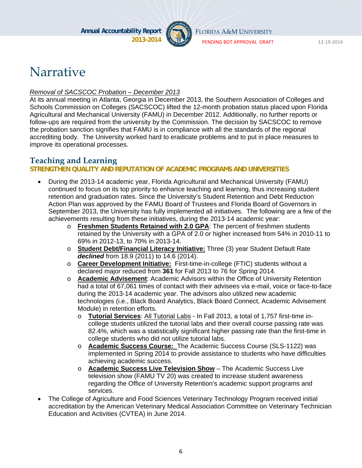

FLORIDA A&M UNIVERSITY

PENDING BOT APPROVAL DRAFT 12‐19‐2014

# **Narrative**

#### *Removal of SACSCOC Probation – December 2013*

At its annual meeting in Atlanta, Georgia in December 2013, the Southern Association of Colleges and Schools Commission on Colleges (SACSCOC) lifted the 12-month probation status placed upon Florida Agricultural and Mechanical University (FAMU) in December 2012. Additionally, no further reports or follow-ups are required from the university by the Commission. The decision by SACSCOC to remove the probation sanction signifies that FAMU is in compliance with all the standards of the regional accrediting body. The University worked hard to eradicate problems and to put in place measures to improve its operational processes.

### **Teaching and Learning**

#### **STRENGTHEN QUALITY AND REPUTATION OF ACADEMIC PROGRAMS AND UNIVERSITIES**

- During the 2013-14 academic year, Florida Agricultural and Mechanical University (FAMU) continued to focus on its top priority to enhance teaching and learning, thus increasing student retention and graduation rates. Since the University's Student Retention and Debt Reduction Action Plan was approved by the FAMU Board of Trustees and Florida Board of Governors in September 2013, the University has fully implemented all initiatives. The following are a few of the achievements resulting from these initiatives, during the 2013-14 academic year:
	- o **Freshmen Students Retained with 2.0 GPA**: The percent of freshmen students retained by the University with a GPA of 2.0 or higher increased from 54% in 2010-11 to 69% in 2012-13, to 70% in 2013-14.
	- o **Student Debt/Financial Literacy Initiative:** Three (3) year Student Default Rate *declined* from 18.9 (2011) to 14.6 (2014).
	- o **Career Development Initiative:** First-time-in-college (FTIC) students without a declared major reduced from **361** for Fall 2013 to 76 for Spring 2014.
	- o **Academic Advisement**: Academic Advisors within the Office of University Retention had a total of 67,061 times of contact with their advisees via e-mail, voice or face-to-face during the 2013-14 academic year. The advisors also utilized new academic technologies (i.e., Black Board Analytics, Black Board Connect, Academic Advisement Module) in retention efforts.
		- o **Tutorial Services**: All Tutorial Labs In Fall 2013, a total of 1,757 first-time incollege students utilized the tutorial labs and their overall course passing rate was 82.4%, which was a statistically significant higher passing rate than the first-time in college students who did not utilize tutorial labs.
		- o **Academic Success Course:** The Academic Success Course (SLS-1122) was implemented in Spring 2014 to provide assistance to students who have difficulties achieving academic success.
		- o **Academic Success Live Television Show** The Academic Success Live television show (FAMU TV 20) was created to increase student awareness regarding the Office of University Retention's academic support programs and services.
- The College of Agriculture and Food Sciences Veterinary Technology Program received initial accreditation by the American Veterinary Medical Association Committee on Veterinary Technician Education and Activities (CVTEA) in June 2014.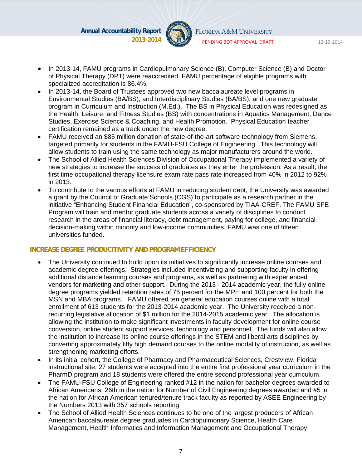

FLORIDA A&M UNIVERSITY

PENDING BOT APPROVAL DRAFT 12‐19‐2014

- In 2013-14, FAMU programs in Cardiopulmonary Science (B), Computer Science (B) and Doctor of Physical Therapy (DPT) were reaccredited. FAMU percentage of eligible programs with specialized accreditation is 86.4%.
- In 2013-14, the Board of Trustees approved two new baccalaureate level programs in Environmental Studies (BA/BS), and Interdisciplinary Studies (BA/BS), and one new graduate program in Curriculum and Instruction (M.Ed.). The BS in Physical Education was redesigned as the Health, Leisure, and Fitness Studies (BS) with concentrations in Aquatics Management, Dance Studies, Exercise Science & Coaching, and Health Promotion. Physical Education teacher certification remained as a track under the new degree.
- FAMU received an \$85 million donation of state-of-the-art software technology from Siemens, targeted primarily for students in the FAMU-FSU College of Engineering. This technology will allow students to train using the same technology as major manufacturers around the world.
- The School of Allied Health Sciences Division of Occupational Therapy implemented a variety of new strategies to increase the success of graduates as they enter the profession. As a result, the first time occupational therapy licensure exam rate pass rate increased from 40% in 2012 to 92% in 2013.
- To contribute to the various efforts at FAMU in reducing student debt, the University was awarded a grant by the Council of Graduate Schools (CGS) to participate as a research partner in the initiative "Enhancing Student Financial Education", co-sponsored by TIAA-CREF. The FAMU SFE Program will train and mentor graduate students across a variety of disciplines to conduct research in the areas of financial literacy, debt management, paying for college, and financial decision-making within minority and low-income communities. FAMU was one of fifteen universities funded.

#### **INCREASE DEGREE PRODUCITIVITY AND PROGRAM EFFICIENCY**

- The University continued to build upon its initiatives to significantly increase online courses and academic degree offerings. Strategies included incentivizing and supporting faculty in offering additional distance learning courses and programs, as well as partnering with experienced vendors for marketing and other support. During the 2013 - 2014 academic year, the fully online degree programs yielded retention rates of 75 percent for the MPH and 100 percent for both the MSN and MBA programs. FAMU offered ten general education courses online with a total enrollment of 613 students for the 2013-2014 academic year. The University received a nonrecurring legislative allocation of \$1 million for the 2014-2015 academic year. The allocation is allowing the institution to make significant investments in faculty development for online course conversion, online student support services, technology and personnel. The funds will also allow the institution to increase its online course offerings in the STEM and liberal arts disciplines by converting approximately fifty high demand courses to the online modality of instruction, as well as strengthening marketing efforts.
- In its initial cohort, the College of Pharmacy and Pharmaceutical Sciences, Crestview, Florida instructional site, 27 students were accepted into the entire first professional year curriculum in the PharmD program and 18 students were offered the entire second professional year curriculum.
- The FAMU-FSU College of Engineering ranked #12 in the nation for bachelor degrees awarded to African Americans, 26th in the nation for Number of Civil Engineering degrees awarded and #5 in the nation for African American tenured/tenure track faculty as reported by ASEE Engineering by the Numbers 2013 with 357 schools reporting.
- The School of Allied Health Sciences continues to be one of the largest producers of African American baccalaureate degree graduates in Cardiopulmonary Science, Health Care Management, Health Informatics and Information Management and Occupational Therapy.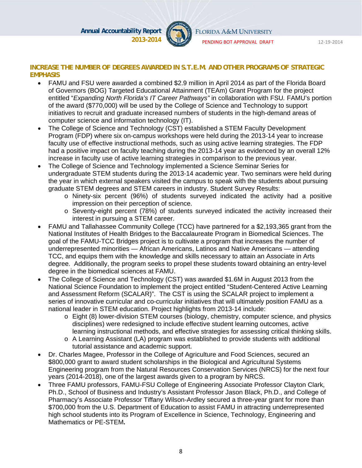

FLORIDA A&M UNIVERSITY

PENDING BOT APPROVAL DRAFT 12‐19‐2014

#### **INCREASE THE NUMBER OF DEGREES AWARDED IN S.T.E.M. AND OTHER PROGRAMS OF STRATEGIC EMPHASIS**

- FAMU and FSU were awarded a combined \$2.9 million in April 2014 as part of the Florida Board of Governors (BOG) Targeted Educational Attainment (TEAm) Grant Program for the project entitled "*Expanding North Florida's IT Career Pathways"* in collaboration with FSU*.* FAMU's portion of the award (\$770,000) will be used by the College of Science and Technology to support initiatives to recruit and graduate increased numbers of students in the high-demand areas of computer science and information technology (IT).
- The College of Science and Technology (CST) established a STEM Faculty Development Program (FDP) where six on-campus workshops were held during the 2013-14 year to increase faculty use of effective instructional methods, such as using active learning strategies. The FDP had a positive impact on faculty teaching during the 2013-14 year as evidenced by an overall 12% increase in faculty use of active learning strategies in comparison to the previous year.
- The College of Science and Technology implemented a Science Seminar Series for undergraduate STEM students during the 2013-14 academic year. Two seminars were held during the year in which external speakers visited the campus to speak with the students about pursuing graduate STEM degrees and STEM careers in industry. Student Survey Results:
	- o Ninety-six percent (96%) of students surveyed indicated the activity had a positive impression on their perception of science.
	- o Seventy-eight percent (78%) of students surveyed indicated the activity increased their interest in pursuing a STEM career.
- FAMU and Tallahassee Community College (TCC) have partnered for a \$2,193,365 grant from the National Institutes of Health Bridges to the Baccalaureate Program in Biomedical Sciences. The goal of the FAMU-TCC Bridges project is to cultivate a program that increases the number of underrepresented minorities — African Americans, Latinos and Native Americans — attending TCC, and equips them with the knowledge and skills necessary to attain an Associate in Arts degree. Additionally, the program seeks to propel these students toward obtaining an entry-level degree in the biomedical sciences at FAMU.
- The College of Science and Technology (CST) was awarded \$1.6M in August 2013 from the National Science Foundation to implement the project entitled "Student-Centered Active Learning and Assessment Reform (SCALAR)". The CST is using the SCALAR project to implement a series of innovative curricular and co-curricular initiatives that will ultimately position FAMU as a national leader in STEM education. Project highlights from 2013-14 include:
	- o Eight (8) lower-division STEM courses (biology, chemistry, computer science, and physics disciplines) were redesigned to include effective student learning outcomes, active learning instructional methods, and effective strategies for assessing critical thinking skills.
	- $\circ$  A Learning Assistant (LA) program was established to provide students with additional tutorial assistance and academic support.
- Dr. Charles Magee, Professor in the College of Agriculture and Food Sciences, secured an \$800,000 grant to award student scholarships in the Biological and Agricultural Systems Engineering program from the Natural Resources Conservation Services (NRCS) for the next four years (2014-2018), one of the largest awards given to a program by NRCS.
- Three FAMU professors, FAMU-FSU College of Engineering Associate Professor Clayton Clark, Ph.D., School of Business and Industry's Assistant Professor Jason Black, Ph.D., and College of Pharmacy's Associate Professor Tiffany Wilson-Ardley secured a three-year grant for more than \$700,000 from the U.S. Department of Education to assist FAMU in attracting underrepresented high school students into its Program of Excellence in Science, Technology, Engineering and Mathematics or PE-STEM**.**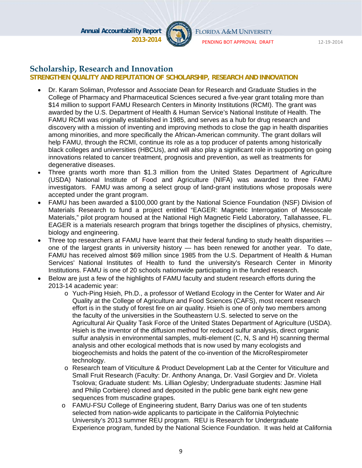

FLORIDA A&M UNIVERSITY

PENDING BOT APPROVAL DRAFT 12‐19‐2014

#### **Scholarship, Research and Innovation**

#### **STRENGTHEN QUALITY AND REPUTATION OF SCHOLARSHIP, RESEARCH AND INNOVATION**

- Dr. Karam Soliman, Professor and Associate Dean for Research and Graduate Studies in the College of Pharmacy and Pharmaceutical Sciences secured a five‐year grant totaling more than \$14 million to support FAMU Research Centers in Minority Institutions (RCMI). The grant was awarded by the U.S. Department of Health & Human Service's National Institute of Health. The FAMU RCMI was originally established in 1985, and serves as a hub for drug research and discovery with a mission of inventing and improving methods to close the gap in health disparities among minorities, and more specifically the African‐American community. The grant dollars will help FAMU, through the RCMI, continue its role as a top producer of patents among historically black colleges and universities (HBCUs), and will also play a significant role in supporting on going innovations related to cancer treatment, prognosis and prevention, as well as treatments for degenerative diseases.
- Three grants worth more than \$1.3 million from the United States Department of Agriculture (USDA) National Institute of Food and Agriculture (NIFA) was awarded to three FAMU investigators. FAMU was among a select group of land-grant institutions whose proposals were accepted under the grant program.
- FAMU has been awarded a \$100,000 grant by the National Science Foundation (NSF) Division of Materials Research to fund a project entitled "EAGER: Magnetic Interrogation of Mesoscale Materials," pilot program housed at the National High Magnetic Field Laboratory, Tallahassee, FL. EAGER is a materials research program that brings together the disciplines of physics, chemistry, biology and engineering.
- Three top researchers at FAMU have learnt that their federal funding to study health disparities one of the largest grants in university history — has been renewed for another year. To date, FAMU has received almost \$69 million since 1985 from the U.S. Department of Health & Human Services' National Institutes of Health to fund the university's Research Center in Minority Institutions. FAMU is one of 20 schools nationwide participating in the funded research.
- Below are just a few of the highlights of FAMU faculty and student research efforts during the 2013-14 academic year:
	- o Yuch-Ping Hsieh, Ph.D., a professor of Wetland Ecology in the Center for Water and Air Quality at the College of Agriculture and Food Sciences (CAFS), most recent research effort is in the study of forest fire on air quality. Hsieh is one of only two members among the faculty of the universities in the Southeastern U.S. selected to serve on the Agricultural Air Quality Task Force of the United States Department of Agriculture (USDA). Hsieh is the inventor of the diffusion method for reduced sulfur analysis, direct organic sulfur analysis in environmental samples, multi-element (C, N, S and H) scanning thermal analysis and other ecological methods that is now used by many ecologists and biogeochemists and holds the patent of the co-invention of the MicroRespirometer technology.
	- o Research team of Viticulture & Product Development Lab at the Center for Viticulture and Small Fruit Research (Faculty: Dr. Anthony Ananga, Dr. Vasil Gorgiev and Dr. Violeta Tsolova; Graduate student: Ms. Lillian Oglesby; Undergraduate students: Jasmine Hall and Philip Corbiere) cloned and deposited in the public gene bank eight new gene sequences from muscadine grapes.
	- o FAMU-FSU College of Engineering student, Barry Darius was one of ten students selected from nation-wide applicants to participate in the California Polytechnic University's 2013 summer REU program. REU is Research for Undergraduate Experience program, funded by the National Science Foundation. It was held at California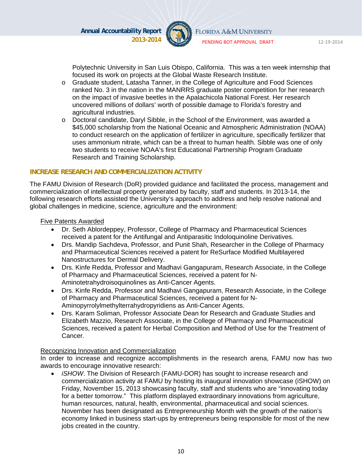

PENDING BOT APPROVAL DRAFT 12‐19‐2014

Polytechnic University in San Luis Obispo, California. This was a ten week internship that focused its work on projects at the Global Waste Research Institute.

- o Graduate student, Latasha Tanner, in the College of Agriculture and Food Sciences ranked No. 3 in the nation in the MANRRS graduate poster competition for her research on the impact of invasive beetles in the Apalachicola National Forest. Her research uncovered millions of dollars' worth of possible damage to Florida's forestry and agricultural industries.
- o Doctoral candidate, Daryl Sibble, in the School of the Environment, was awarded a \$45,000 scholarship from the National Oceanic and Atmospheric Administration (NOAA) to conduct research on the application of fertilizer in agriculture, specifically fertilizer that uses ammonium nitrate, which can be a threat to human health. Sibble was one of only two students to receive NOAA's first Educational Partnership Program Graduate Research and Training Scholarship.

#### **INCREASE RESEARCH AND COMMERCIALIZATION ACTIVITY**

The FAMU Division of Research (DoR) provided guidance and facilitated the process, management and commercialization of intellectual property generated by faculty, staff and students. In 2013-14, the following research efforts assisted the University's approach to address and help resolve national and global challenges in medicine, science, agriculture and the environment:

#### Five Patents Awarded

- Dr. Seth Ablordeppey, Professor, College of Pharmacy and Pharmaceutical Sciences received a patent for the Antifungal and Antiparasitic Indoloquinoline Derivatives.
- Drs. Mandip Sachdeva, Professor, and Punit Shah, Researcher in the College of Pharmacy and Pharmaceutical Sciences received a patent for ReSurface Modified Multilayered Nanostructures for Dermal Delivery.
- Drs. Kinfe Redda, Professor and Madhavi Gangapuram, Research Associate, in the College of Pharmacy and Pharmaceutical Sciences, received a patent for N-Aminotetrahydroisoquinolines as Anti-Cancer Agents.
- Drs. Kinfe Redda, Professor and Madhavi Gangapuram, Research Associate, in the College of Pharmacy and Pharmaceutical Sciences, received a patent for N-Aminopyrrolylmethylterrahydropyridiens as Anti-Cancer Agents.
- Drs. Karam Soliman, Professor Associate Dean for Research and Graduate Studies and Elizabeth Mazzio, Research Associate, in the College of Pharmacy and Pharmaceutical Sciences, received a patent for Herbal Composition and Method of Use for the Treatment of Cancer.

#### Recognizing Innovation and Commercialization

In order to increase and recognize accomplishments in the research arena, FAMU now has two awards to encourage innovative research:

 *iSHOW*. The Division of Research (FAMU-DOR) has sought to increase research and commercialization activity at FAMU by hosting its inaugural innovation showcase (iSHOW) on Friday, November 15, 2013 showcasing faculty, staff and students who are "innovating today for a better tomorrow." This platform displayed extraordinary innovations from agriculture, human resources, natural, health, environmental, pharmaceutical and social sciences. November has been designated as Entrepreneurship Month with the growth of the nation's economy linked in business start-ups by entrepreneurs being responsible for most of the new jobs created in the country.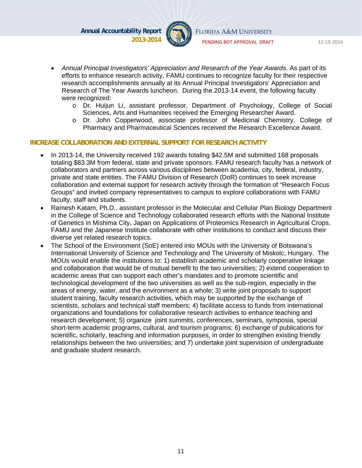

FLORIDA A&M UNIVERSITY

PENDING BOT APPROVAL DRAFT 12‐19‐2014

- *Annual Principal Investigators' Appreciation and Research of the Year Awards*. As part of its efforts to enhance research activity, FAMU continues to recognize faculty for their respective research accomplishments annually at its Annual Principal Investigators' Appreciation and Research of The Year Awards luncheon. During the 2013-14 event, the following faculty were recognized:
	- o Dr. Huijun Li, assistant professor, Department of Psychology, College of Social Sciences, Arts and Humanities received the Emerging Researcher Award.
	- o Dr. John Copperwood, associate professor of Medicinal Chemistry, College of Pharmacy and Pharmaceutical Sciences received the Research Excellence Award.

#### **INCREASE COLLABORATION AND EXTERNAL SUPPORT FOR RESEARCH ACTIVITY**

- In 2013-14, the University received 192 awards totaling \$42.5M and submitted 168 proposals totaling \$83.3M from federal, state and private sponsors. FAMU research faculty has a network of collaborators and partners across various disciplines between academia, city, federal, industry, private and state entities. The FAMU Division of Research (DoR) continues to seek increase collaboration and external support for research activity through the formation of "Research Focus Groups" and invited company representatives to campus to explore collaborations with FAMU faculty, staff and students.
- Ramesh Katam, Ph.D., assistant professor in the Molecular and Cellular Plan Biology Department in the College of Science and Technology collaborated research efforts with the National Institute of Genetics in Mishima City, Japan on Applications of Proteomics Research in Agricultural Crops. FAMU and the Japanese Institute collaborate with other institutions to conduct and discuss their diverse yet related research topics.
- The School of the Environment (SoE) entered into MOUs with the University of Botswana's International University of Science and Technology and The University of Miskolc, Hungary. The MOUs would enable the institutions to: 1) establish academic and scholarly cooperative linkage and collaboration that would be of mutual benefit to the two universities; 2) extend cooperation to academic areas that can support each other's mandates and to promote scientific and technological development of the two universities as well as the sub-region, especially in the areas of energy, water, and the environment as a whole; 3) write joint proposals to support student training, faculty research activities, which may be supported by the exchange of scientists, scholars and technical staff members; 4) facilitate access to funds from international organizations and foundations for collaborative research activities to enhance teaching and research development; 5) organize joint summits, conferences, seminars, symposia, special short-term academic programs, cultural, and tourism programs; 6) exchange of publications for scientific, scholarly, teaching and information purposes, in order to strengthen existing friendly relationships between the two universities; and 7) undertake joint supervision of undergraduate and graduate student research.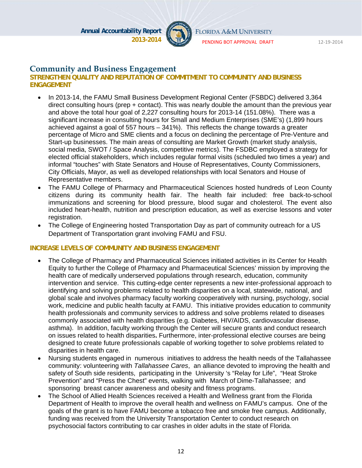

FLORIDA A&M UNIVERSITY

PENDING BOT APPROVAL DRAFT 12‐19‐2014

#### **Community and Business Engagement**

#### **STRENGTHEN QUALITY AND REPUTATION OF COMMITMENT TO COMMUNITY AND BUSINESS ENGAGEMENT**

- In 2013-14, the FAMU Small Business Development Regional Center (FSBDC) delivered 3,364 direct consulting hours (prep + contact). This was nearly double the amount than the previous year and above the total hour goal of 2,227 consulting hours for 2013-14 (151.08%). There was a significant increase in consulting hours for Small and Medium Enterprises (SME's) (1,899 hours achieved against a goal of 557 hours – 341%). This reflects the change towards a greater percentage of Micro and SME clients and a focus on declining the percentage of Pre-Venture and Start-up businesses. The main areas of consulting are Market Growth (market study analysis, social media, SWOT / Space Analysis, competitive metrics). The FSDBC employed a strategy for elected official stakeholders, which includes regular formal visits (scheduled two times a year) and informal "touches" with State Senators and House of Representatives, County Commissioners, City Officials, Mayor, as well as developed relationships with local Senators and House of Representative members.
- The FAMU College of Pharmacy and Pharmaceutical Sciences hosted hundreds of Leon County citizens during its community health fair. The health fair included: free back-to-school immunizations and screening for blood pressure, blood sugar and cholesterol. The event also included heart-health, nutrition and prescription education, as well as exercise lessons and voter registration.
- The College of Engineering hosted Transportation Day as part of community outreach for a US Department of Transportation grant involving FAMU and FSU.

#### **INCREASE LEVELS OF COMMUNITY AND BUSINESS ENGAGEMENT**

- The College of Pharmacy and Pharmaceutical Sciences initiated activities in its Center for Health Equity to further the College of Pharmacy and Pharmaceutical Sciences' mission by improving the health care of medically underserved populations through research, education, community intervention and service. This cutting-edge center represents a new inter-professional approach to identifying and solving problems related to health disparities on a local, statewide, national, and global scale and involves pharmacy faculty working cooperatively with nursing, psychology, social work, medicine and public health faculty at FAMU. This initiative provides education to community health professionals and community services to address and solve problems related to diseases commonly associated with health disparities (e.g. Diabetes, HIV/AIDS, cardiovascular disease, asthma). In addition, faculty working through the Center will secure grants and conduct research on issues related to health disparities**.** Furthermore, inter-professional elective courses are being designed to create future professionals capable of working together to solve problems related to disparities in health care.
- Nursing students engaged in numerous initiatives to address the health needs of the Tallahassee community: volunteering with *Tallahassee Cares*, an alliance devoted to improving the health and safety of South side residents, participating in the University 's "Relay for Life", "Heat Stroke Prevention" and "Press the Chest" events, walking with March of Dime-Tallahassee; and sponsoring breast cancer awareness and obesity and fitness programs.
- The School of Allied Health Sciences received a Health and Wellness grant from the Florida Department of Health to improve the overall health and wellness on FAMU's campus. One of the goals of the grant is to have FAMU become a tobacco free and smoke free campus. Additionally, funding was received from the University Transportation Center to conduct research on psychosocial factors contributing to car crashes in older adults in the state of Florida.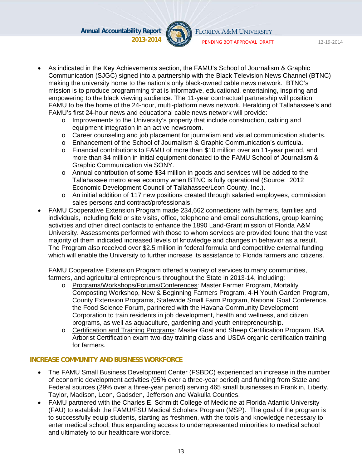

FLORIDA A&M UNIVERSITY

PENDING BOT APPROVAL DRAFT 12‐19‐2014

- 
- As indicated in the Key Achievements section, the FAMU's School of Journalism & Graphic Communication (SJGC) signed into a partnership with the Black Television News Channel (BTNC) making the university home to the nation's only black-owned cable news network. BTNC's mission is to produce programming that is informative, educational, entertaining, inspiring and empowering to the black viewing audience. The 11-year contractual partnership will position FAMU to be the home of the 24-hour, multi-platform news network. Heralding of Tallahassee's and FAMU's first 24-hour news and educational cable news network will provide:
	- $\circ$  Improvements to the University's property that include construction, cabling and equipment integration in an active newsroom.
	- o Career counseling and job placement for journalism and visual communication students.
	- o Enhancement of the School of Journalism & Graphic Communication's curricula.
	- o Financial contributions to FAMU of more than \$10 million over an 11-year period, and more than \$4 million in initial equipment donated to the FAMU School of Journalism & Graphic Communication via SONY.
	- o Annual contribution of some \$34 million in goods and services will be added to the Tallahassee metro area economy when BTNC is fully operational (Source: 2012 Economic Development Council of Tallahassee/Leon County, Inc.).
	- o An initial addition of 117 new positions created through salaried employees, commission sales persons and contract/professionals.
- FAMU Cooperative Extension Program made 234,662 connections with farmers, families and individuals, including field or site visits, office, telephone and email consultations, group learning activities and other direct contacts to enhance the 1890 Land-Grant mission of Florida A&M University. Assessments performed with those to whom services are provided found that the vast majority of them indicated increased levels of knowledge and changes in behavior as a result. The Program also received over \$2.5 million in federal formula and competitive external funding which will enable the University to further increase its assistance to Florida farmers and citizens.

FAMU Cooperative Extension Program offered a variety of services to many communities, farmers, and agricultural entrepreneurs throughout the State in 2013-14, including:

- o Programs/Workshops/Forums/Conferences: Master Farmer Program, Mortality Composting Workshop, New & Beginning Farmers Program, 4-H Youth Garden Program, County Extension Programs, Statewide Small Farm Program, National Goat Conference, the Food Science Forum, partnered with the Havana Community Development Corporation to train residents in job development, health and wellness, and citizen programs, as well as aquaculture, gardening and youth entrepreneurship.
- o Certification and Training Programs: Master Goat and Sheep Certification Program, ISA Arborist Certification exam two-day training class and USDA organic certification training for farmers.

#### **INCREASE COMMUNITY AND BUSINESS WORKFORCE**

- The FAMU Small Business Development Center (FSBDC) experienced an increase in the number of economic development activities (95% over a three-year period) and funding from State and Federal sources (29% over a three-year period) serving 465 small businesses in Franklin, Liberty, Taylor, Madison, Leon, Gadsden, Jefferson and Wakulla Counties.
- FAMU partnered with the Charles E. Schmidt College of Medicine at Florida Atlantic University (FAU) to establish the FAMU/FSU Medical Scholars Program (MSP). The goal of the program is to successfully equip students, starting as freshmen, with the tools and knowledge necessary to enter medical school, thus expanding access to underrepresented minorities to medical school and ultimately to our healthcare workforce.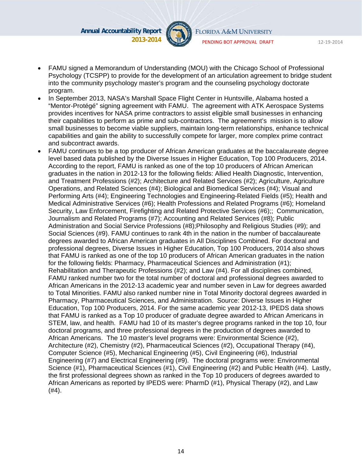

FLORIDA A&M UNIVERSITY

PENDING BOT APPROVAL DRAFT 12‐19‐2014

- 
- FAMU signed a Memorandum of Understanding (MOU) with the Chicago School of Professional Psychology (TCSPP) to provide for the development of an articulation agreement to bridge student into the community psychology master's program and the counseling psychology doctorate program.
- In September 2013, NASA's Marshall Space Flight Center in Huntsville, Alabama hosted a "Mentor-Protégé" signing agreement with FAMU. The agreement with ATK Aerospace Systems provides incentives for NASA prime contractors to assist eligible small businesses in enhancing their capabilities to perform as prime and sub-contractors. The agreement's mission is to allow small businesses to become viable suppliers, maintain long-term relationships, enhance technical capabilities and gain the ability to successfully compete for larger, more complex prime contract and subcontract awards.
- FAMU continues to be a top producer of African American graduates at the baccalaureate degree level based data published by the Diverse Issues in Higher Education, Top 100 Producers, 2014. According to the report, FAMU is ranked as one of the top 10 producers of African American graduates in the nation in 2012-13 for the following fields: Allied Health Diagnostic, Intervention, and Treatment Professions (#2); Architecture and Related Services (#2); Agriculture, Agriculture Operations, and Related Sciences (#4); Biological and Biomedical Services (#4); Visual and Performing Arts (#4); Engineering Technologies and Engineering-Related Fields (#5); Health and Medical Administrative Services (#6); Health Professions and Related Programs (#6); Homeland Security, Law Enforcement, Firefighting and Related Protective Services (#6);; Communication, Journalism and Related Programs (#7); Accounting and Related Services (#8); Public Administration and Social Service Professions (#8);Philosophy and Religious Studies (#9); and Social Sciences (#9). FAMU continues to rank 4th in the nation in the number of baccalaureate degrees awarded to African American graduates in All Disciplines Combined. For doctoral and professional degrees, Diverse Issues in Higher Education, Top 100 Producers, 2014 also shows that FAMU is ranked as one of the top 10 producers of African American graduates in the nation for the following fields: Pharmacy, Pharmaceutical Sciences and Administration (#1); Rehabilitation and Therapeutic Professions (#2); and Law (#4). For all disciplines combined, FAMU ranked number two for the total number of doctoral and professional degrees awarded to African Americans in the 2012-13 academic year and number seven in Law for degrees awarded to Total Minorities. FAMU also ranked number nine in Total Minority doctoral degrees awarded in Pharmacy, Pharmaceutical Sciences, and Administration. Source: Diverse Issues in Higher Education, Top 100 Producers, 2014. For the same academic year 2012-13, IPEDS data shows that FAMU is ranked as a Top 10 producer of graduate degree awarded to African Americans in STEM, law, and health. FAMU had 10 of its master's degree programs ranked in the top 10, four doctoral programs, and three professional degrees in the production of degrees awarded to African Americans. The 10 master's level programs were: Environmental Science (#2), Architecture (#2), Chemistry (#2), Pharmaceutical Sciences (#2), Occupational Therapy (#4), Computer Science (#5), Mechanical Engineering (#5), Civil Engineering (#6), Industrial Engineering (#7) and Electrical Engineering (#9). The doctoral programs were: Environmental Science (#1), Pharmaceutical Sciences (#1), Civil Engineering (#2) and Public Health (#4). Lastly, the first professional degrees shown as ranked in the Top 10 producers of degrees awarded to African Americans as reported by IPEDS were: PharmD (#1), Physical Therapy (#2), and Law (#4).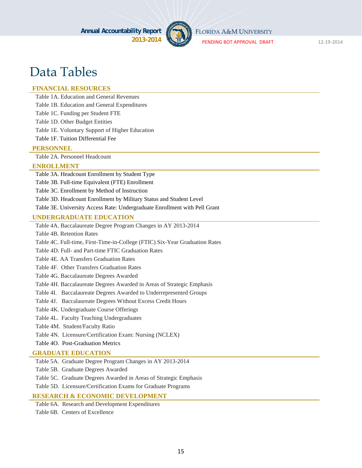

FLORIDA A&M UNIVERSITY

PENDING BOT APPROVAL DRAFT 12‐19‐2014

# Data Tables

#### **FINANCIAL RESOURCES**

Table 1A. Education and General Revenues

Table 1B. Education and General Expenditures

Table 1C. Funding per Student FTE

Table 1D. Other Budget Entities

Table 1E. Voluntary Support of Higher Education

Table 1F. Tuition Differential Fee

#### **PERSONNEL**

Table 2A. Personnel Headcount

#### **ENROLLMENT**

Table 3A. Headcount Enrollment by Student Type

Table 3B. Full-time Equivalent (FTE) Enrollment

Table 3C. Enrollment by Method of Instruction

Table 3D. Headcount Enrollment by Military Status and Student Level

Table 3E. University Access Rate: Undergraduate Enrollment with Pell Grant

#### **UNDERGRADUATE EDUCATION**

Table 4A. Baccalaureate Degree Program Changes in AY 2013-2014

Table 4B. Retention Rates

Table 4C. Full-time, First-Time-in-College (FTIC) Six-Year Graduation Rates

Table 4D. Full- and Part-time FTIC Graduation Rates

Table 4E. AA Transfers Graduation Rates

Table 4F. Other Transfers Graduation Rates

Table 4G. Baccalaureate Degrees Awarded

Table 4H. Baccalaureate Degrees Awarded in Areas of Strategic Emphasis

Table 4I. Baccalaureate Degrees Awarded to Underrepresented Groups

Table 4J. Baccalaureate Degrees Without Excess Credit Hours

Table 4K. Undergraduate Course Offerings

Table 4L. Faculty Teaching Undergraduates

Table 4M. Student/Faculty Ratio

Table 4N. Licensure/Certification Exam: Nursing (NCLEX)

Table 4O. Post-Graduation Metrics

#### **GRADUATE EDUCATION**

Table 5A. Graduate Degree Program Changes in AY 2013-2014

Table 5B. Graduate Degrees Awarded

Table 5C. Graduate Degrees Awarded in Areas of Strategic Emphasis

Table 5D. Licensure/Certification Exams for Graduate Programs

#### **RESEARCH & ECONOMIC DEVELOPMENT**

Table 6A. Research and Development Expenditures Table 6B. Centers of Excellence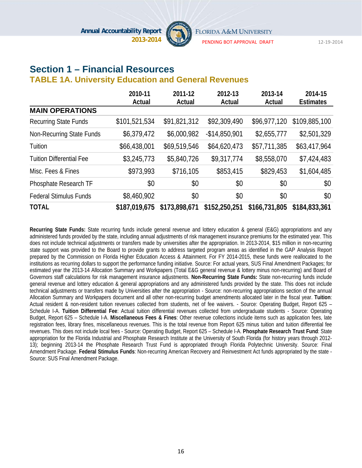

PENDING BOT APPROVAL DRAFT 12‐19‐2014

# **Section 1 – Financial Resources**

#### **TABLE 1A. University Education and General Revenues**

|                                 | 2010-11       | 2011-12       | 2012-13        | 2013-14       | 2014-15          |
|---------------------------------|---------------|---------------|----------------|---------------|------------------|
|                                 | Actual        | Actual        | Actual         | Actual        | <b>Estimates</b> |
| <b>MAIN OPERATIONS</b>          |               |               |                |               |                  |
| <b>Recurring State Funds</b>    | \$101,521,534 | \$91,821,312  | \$92,309,490   | \$96,977,120  | \$109,885,100    |
| Non-Recurring State Funds       | \$6,379,472   | \$6,000,982   | $-$14,850,901$ | \$2,655,777   | \$2,501,329      |
| Tuition                         | \$66,438,001  | \$69,519,546  | \$64,620,473   | \$57,711,385  | \$63,417,964     |
| <b>Tuition Differential Fee</b> | \$3,245,773   | \$5,840,726   | \$9,317,774    | \$8,558,070   | \$7,424,483      |
| Misc. Fees & Fines              | \$973,993     | \$716,105     | \$853,415      | \$829,453     | \$1,604,485      |
| Phosphate Research TF           | \$0           | \$0           | \$0            | \$0           | \$0              |
| <b>Federal Stimulus Funds</b>   | \$8,460,902   | \$0           | \$0            | \$0           | \$0              |
| <b>TOTAL</b>                    | \$187,019,675 | \$173,898,671 | \$152,250,251  | \$166,731,805 | \$184,833,361    |

**Recurring State Funds:** State recurring funds include general revenue and lottery education & general (E&G) appropriations and any administered funds provided by the state, including annual adjustments of risk management insurance premiums for the estimated year. This does not include technical adjustments or transfers made by universities after the appropriation. In 2013-2014, \$15 million in non-recurring state support was provided to the Board to provide grants to address targeted program areas as identified in the GAP Analysis Report prepared by the Commission on Florida Higher Education Access & Attainment. For FY 2014-2015, these funds were reallocated to the institutions as recurring dollars to support the performance funding initiative. Source: For actual years, SUS Final Amendment Packages; for estimated year the 2013-14 Allocation Summary and Workpapers (Total E&G general revenue & lottery minus non-recurring) and Board of Governors staff calculations for risk management insurance adjustments. **Non-Recurring State Funds:** State non-recurring funds include general revenue and lottery education & general appropriations and any administered funds provided by the state. This does not include technical adjustments or transfers made by Universities after the appropriation - Source: non-recurring appropriations section of the annual Allocation Summary and Workpapers document and all other non-recurring budget amendments allocated later in the fiscal year. **Tuition**: Actual resident & non-resident tuition revenues collected from students, net of fee waivers. - Source: Operating Budget, Report 625 – Schedule I-A. **Tuition Differential Fee**: Actual tuition differential revenues collected from undergraduate students - Source: Operating Budget, Report 625 – Schedule I-A. **Miscellaneous Fees & Fines**: Other revenue collections include items such as application fees, late registration fees, library fines, miscellaneous revenues. This is the total revenue from Report 625 minus tuition and tuition differential fee revenues. This does not include local fees - Source: Operating Budget, Report 625 – Schedule I-A. **Phosphate Research Trust Fund**: State appropriation for the Florida Industrial and Phosphate Research Institute at the University of South Florida (for history years through 2012- 13); beginning 2013-14 the Phosphate Research Trust Fund is appropriated through Florida Polytechnic University. Source: Final Amendment Package. **Federal Stimulus Funds**: Non-recurring American Recovery and Reinvestment Act funds appropriated by the state - Source: SUS Final Amendment Package.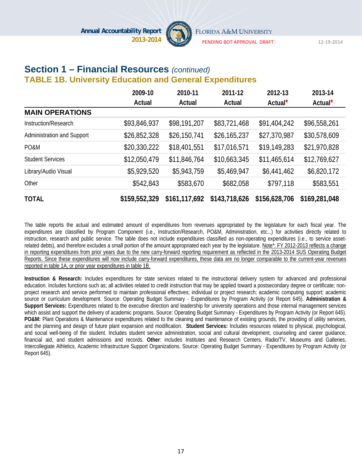

PENDING BOT APPROVAL DRAFT 12‐19‐2014

#### **Section 1 – Financial Resources** *(continued)*  **TABLE 1B. University Education and General Expenditures**

|                            | 2009-10       | 2010-11       | 2011-12       | 2012-13             | 2013-14             |
|----------------------------|---------------|---------------|---------------|---------------------|---------------------|
|                            | Actual        | Actual        | Actual        | Actual <sup>*</sup> | Actual <sup>*</sup> |
| <b>MAIN OPERATIONS</b>     |               |               |               |                     |                     |
| Instruction/Research       | \$93,846,937  | \$98,191,207  | \$83,721,468  | \$91,404,242        | \$96,558,261        |
| Administration and Support | \$26,852,328  | \$26,150,741  | \$26,165,237  | \$27,370,987        | \$30,578,609        |
| PO&M                       | \$20,330,222  | \$18,401,551  | \$17,016,571  | \$19,149,283        | \$21,970,828        |
| <b>Student Services</b>    | \$12,050,479  | \$11,846,764  | \$10,663,345  | \$11,465,614        | \$12,769,627        |
| Library/Audio Visual       | \$5,929,520   | \$5,943,759   | \$5,469,947   | \$6,441,462         | \$6,820,172         |
| Other                      | \$542,843     | \$583,670     | \$682,058     | \$797,118           | \$583,551           |
| <b>TOTAL</b>               | \$159,552,329 | \$161,117,692 | \$143,718,626 | \$156,628,706       | \$169,281,048       |

The table reports the actual and estimated amount of expenditures from revenues appropriated by the legislature for each fiscal year. The expenditures are classified by Program Component (i.e., Instruction/Research, PO&M, Administration, etc...) for activities directly related to instruction, research and public service. The table does not include expenditures classified as non-operating expenditures (i.e., to service assetrelated debts), and therefore excludes a small portion of the amount appropriated each year by the legislature. Note\*: FY 2012-2013 reflects a change in reporting expenditures from prior years due to the new carry-forward reporting requirement as reflected in the 2013-2014 SUS Operating Budget Reports. Since these expenditures will now include carry-forward expenditures, these data are no longer comparable to the current-year revenues reported in table 1A, or prior year expenditures in table 1B.

**Instruction & Research:** Includes expenditures for state services related to the instructional delivery system for advanced and professional education. Includes functions such as; all activities related to credit instruction that may be applied toward a postsecondary degree or certificate; nonproject research and service performed to maintain professional effectives; individual or project research; academic computing support; academic source or curriculum development. Source: Operating Budget Summary - Expenditures by Program Activity (or Report 645). **Administration & Support Services:** Expenditures related to the executive direction and leadership for university operations and those internal management services which assist and support the delivery of academic programs. Source: Operating Budget Summary - Expenditures by Program Activity (or Report 645). **PO&M:** Plant Operations & Maintenance expenditures related to the cleaning and maintenance of existing grounds, the providing of utility services, and the planning and design of future plant expansion and modification. **Student Services:** Includes resources related to physical, psychological, and social well-being of the student. Includes student service administration, social and cultural development, counseling and career guidance, financial aid, and student admissions and records. **Other**: includes Institutes and Research Centers, Radio/TV, Museums and Galleries, Intercollegiate Athletics, Academic Infrastructure Support Organizations. Source: Operating Budget Summary - Expenditures by Program Activity (or Report 645).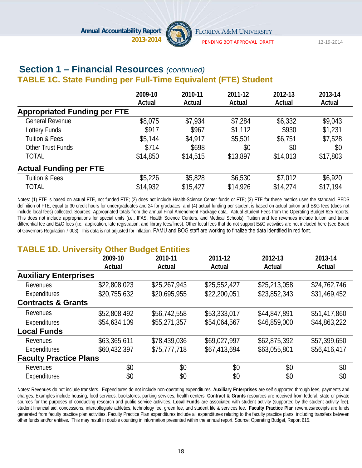

PENDING BOT APPROVAL DRAFT 12‐19‐2014

#### **Section 1 – Financial Resources** *(continued)*  **TABLE 1C. State Funding per Full-Time Equivalent (FTE) Student**

|                                     | 2009-10  | 2010-11  | 2011-12  | 2012-13  | 2013-14  |
|-------------------------------------|----------|----------|----------|----------|----------|
|                                     | Actual   | Actual   | Actual   | Actual   | Actual   |
| <b>Appropriated Funding per FTE</b> |          |          |          |          |          |
| <b>General Revenue</b>              | \$8,075  | \$7,934  | \$7,284  | \$6,332  | \$9,043  |
| Lottery Funds                       | \$917    | \$967    | \$1,112  | \$930    | \$1,231  |
| Tuition & Fees                      | \$5,144  | \$4,917  | \$5,501  | \$6,751  | \$7,528  |
| Other Trust Funds                   | \$714    | \$698    | \$0      | \$0      | \$0      |
| <b>TOTAL</b>                        | \$14,850 | \$14,515 | \$13,897 | \$14,013 | \$17,803 |
| <b>Actual Funding per FTE</b>       |          |          |          |          |          |
| Tuition & Fees                      | \$5,226  | \$5,828  | \$6,530  | \$7,012  | \$6,920  |
| <b>TOTAL</b>                        | \$14,932 | \$15,427 | \$14,926 | \$14,274 | \$17,194 |

Notes: (1) FTE is based on actual FTE, not funded FTE; (2) does not include Health-Science Center funds or FTE; (3) FTE for these metrics uses the standard IPEDS definition of FTE, equal to 30 credit hours for undergraduates and 24 for graduates; and (4) actual funding per student is based on actual tuition and E&G fees (does not include local fees) collected. Sources: Appropriated totals from the annual Final Amendment Package data. Actual Student Fees from the Operating Budget 625 reports. This does not include appropriations for special units (i.e., IFAS, Health Science Centers, and Medical Schools). Tuition and fee revenues include tuition and tuition differential fee and E&G fees (i.e., application, late registration, and library fees/fines). Other local fees that do not support E&G activities are not included here (see Board of Governors Regulation 7.003). This data is not adjusted for inflation. FAMU and BOG staff are working to finalize the data identified in red font.

# **TABLE 1D. University Other Budget Entities**

|                               | 2009-10      | --<br>2010-11 | 2011-12      | 2012-13      | 2013-14      |
|-------------------------------|--------------|---------------|--------------|--------------|--------------|
|                               | Actual       | Actual        | Actual       | Actual       | Actual       |
| <b>Auxiliary Enterprises</b>  |              |               |              |              |              |
| Revenues                      | \$22,808,023 | \$25,267,943  | \$25,552,427 | \$25,213,058 | \$24,762,746 |
| Expenditures                  | \$20,755,632 | \$20,695,955  | \$22,200,051 | \$23,852,343 | \$31,469,452 |
| <b>Contracts &amp; Grants</b> |              |               |              |              |              |
| Revenues                      | \$52,808,492 | \$56,742,558  | \$53,333,017 | \$44,847,891 | \$51,417,860 |
| Expenditures                  | \$54,634,109 | \$55,271,357  | \$54,064,567 | \$46,859,000 | \$44,863,222 |
| <b>Local Funds</b>            |              |               |              |              |              |
| Revenues                      | \$63,365,611 | \$78,439,036  | \$69,027,997 | \$62,875,392 | \$57,399,650 |
| Expenditures                  | \$60,432,397 | \$75,777,718  | \$67,413,694 | \$63,055,801 | \$56,416,417 |
| <b>Faculty Practice Plans</b> |              |               |              |              |              |
| Revenues                      | \$0          | \$0           | \$0          | \$0          | \$0          |
| Expenditures                  | \$0          | \$0           | \$0          | \$0          | \$0          |

Notes: Revenues do not include transfers. Expenditures do not include non-operating expenditures. **Auxiliary Enterprises** are self supported through fees, payments and charges. Examples include housing, food services, bookstores, parking services, health centers. **Contract & Grants** resources are received from federal, state or private sources for the purposes of conducting research and public service activities. **Local Funds** are associated with student activity (supported by the student activity fee), student financial aid, concessions, intercollegiate athletics, technology fee, green fee, and student life & services fee. **Faculty Practice Plan** revenues/receipts are funds generated from faculty practice plan activities. Faculty Practice Plan expenditures include all expenditures relating to the faculty practice plans, including transfers between other funds and/or entities. This may result in double counting in information presented within the annual report. Source: Operating Budget, Report 615.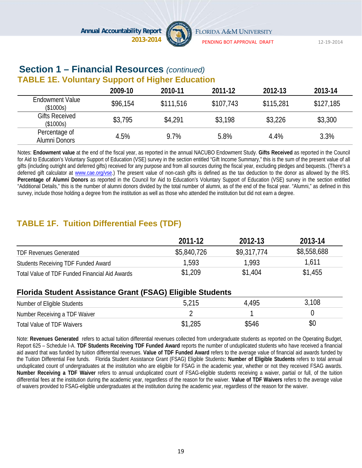

PENDING BOT APPROVAL DRAFT 12‐19‐2014

### **Section 1 – Financial Resources** *(continued)* **TABLE 1E. Voluntary Support of Higher Education**

|                                     | 2009-10  | 2010-11   | 2011-12   | 2012-13   | 2013-14   |
|-------------------------------------|----------|-----------|-----------|-----------|-----------|
| <b>Endowment Value</b><br>(\$1000s) | \$96,154 | \$111,516 | \$107,743 | \$115,281 | \$127,185 |
| <b>Gifts Received</b><br>(\$1000s)  | \$3,795  | \$4,291   | \$3,198   | \$3,226   | \$3,300   |
| Percentage of<br>Alumni Donors      | 4.5%     | 9.7%      | 5.8%      | 4.4%      | 3.3%      |

Notes: **Endowment value** at the end of the fiscal year, as reported in the annual NACUBO Endowment Study. **Gifts Received** as reported in the Council for Aid to Education's Voluntary Support of Education (VSE) survey in the section entitled "Gift Income Summary," this is the sum of the present value of all gifts (including outright and deferred gifts) received for any purpose and from all sources during the fiscal year, excluding pledges and bequests. (There's a deferred gift calculator at www.cae.org/vse.) The present value of non-cash gifts is defined as the tax deduction to the donor as allowed by the IRS. **Percentage of Alumni Donors** as reported in the Council for Aid to Education's Voluntary Support of Education (VSE) survey in the section entitled "Additional Details," this is the number of alumni donors divided by the total number of alumni, as of the end of the fiscal year. "Alumni," as defined in this survey, include those holding a degree from the institution as well as those who attended the institution but did not earn a degree.

# **TABLE 1F. Tuition Differential Fees (TDF)**

|                                                | 2011-12     | 2012-13     | 2013-14     |
|------------------------------------------------|-------------|-------------|-------------|
| <b>TDF Revenues Generated</b>                  | \$5,840,726 | \$9,317,774 | \$8,558,688 |
| Students Receiving TDF Funded Award            | 1,593       | 1,993       | 1,611       |
| Total Value of TDF Funded Financial Aid Awards | \$1,209     | \$1,404     | \$1,455     |

#### **Florida Student Assistance Grant (FSAG) Eligible Students**

| Number of Eligible Students   |         | .495  | $\,^\circ\,108$ |
|-------------------------------|---------|-------|-----------------|
| Number Receiving a TDF Waiver |         |       |                 |
| Total Value of TDF Waivers    | \$1,285 | \$546 | \$0             |

Note: **Revenues Generated** refers to actual tuition differential revenues collected from undergraduate students as reported on the Operating Budget, Report 625 – Schedule I-A. **TDF Students Receiving TDF Funded Award** reports the number of unduplicated students who have received a financial aid award that was funded by tuition differential revenues. **Value of TDF Funded Award** refers to the average value of financial aid awards funded by the Tuition Differential Fee funds. Florida Student Assistance Grant (FSAG) Eligible Students**: Number of Eligible Students** refers to total annual unduplicated count of undergraduates at the institution who are eligible for FSAG in the academic year, whether or not they received FSAG awards. **Number Receiving a TDF Waiver** refers to annual unduplicated count of FSAG-eligible students receiving a waiver, partial or full, of the tuition differential fees at the institution during the academic year, regardless of the reason for the waiver. **Value of TDF Waivers** refers to the average value of waivers provided to FSAG-eligible undergraduates at the institution during the academic year, regardless of the reason for the waiver.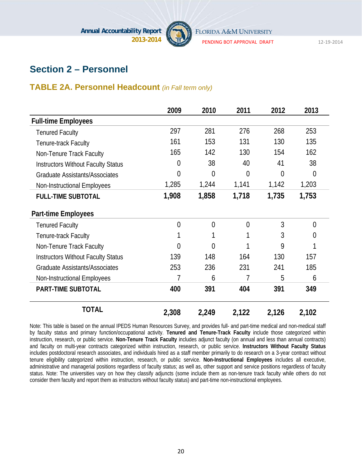

PENDING BOT APPROVAL DRAFT 12‐19‐2014

# **Section 2 – Personnel**

#### **TABLE 2A. Personnel Headcount** *(in Fall term only)*

|                                           | 2009           | 2010           | 2011           | 2012           | 2013           |
|-------------------------------------------|----------------|----------------|----------------|----------------|----------------|
| <b>Full-time Employees</b>                |                |                |                |                |                |
| <b>Tenured Faculty</b>                    | 297            | 281            | 276            | 268            | 253            |
| Tenure-track Faculty                      | 161            | 153            | 131            | 130            | 135            |
| Non-Tenure Track Faculty                  | 165            | 142            | 130            | 154            | 162            |
| <b>Instructors Without Faculty Status</b> | 0              | 38             | 40             | 41             | 38             |
| <b>Graduate Assistants/Associates</b>     | 0              | $\overline{0}$ | $\overline{0}$ | $\overline{0}$ | $\overline{0}$ |
| Non-Instructional Employees               | 1,285          | 1,244          | 1,141          | 1,142          | 1,203          |
| <b>FULL-TIME SUBTOTAL</b>                 | 1,908          | 1,858          | 1,718          | 1,735          | 1,753          |
| <b>Part-time Employees</b>                |                |                |                |                |                |
| <b>Tenured Faculty</b>                    | $\overline{0}$ | $\overline{0}$ | $\overline{0}$ | 3              | $\theta$       |
| Tenure-track Faculty                      |                |                |                | 3              | $\overline{0}$ |
| Non-Tenure Track Faculty                  | 0              | 0              |                | 9              | 1              |
| <b>Instructors Without Faculty Status</b> | 139            | 148            | 164            | 130            | 157            |
| <b>Graduate Assistants/Associates</b>     | 253            | 236            | 231            | 241            | 185            |
| Non-Instructional Employees               | 7              | 6              | 7              | 5              | 6              |
| <b>PART-TIME SUBTOTAL</b>                 | 400            | 391            | 404            | 391            | 349            |
| <b>TOTAL</b>                              | 2,308          | 2,249          | 2,122          | 2,126          | 2,102          |

Note: This table is based on the annual IPEDS Human Resources Survey, and provides full- and part-time medical and non-medical staff by faculty status and primary function/occupational activity. **Tenured and Tenure-Track Faculty** include those categorized within instruction, research, or public service. **Non-Tenure Track Faculty** includes adjunct faculty (on annual and less than annual contracts) and faculty on multi-year contracts categorized within instruction, research, or public service. **Instructors Without Faculty Status** includes postdoctoral research associates, and individuals hired as a staff member primarily to do research on a 3-year contract without tenure eligibility categorized within instruction, research, or public service. **Non-Instructional Employees** includes all executive, administrative and managerial positions regardless of faculty status; as well as, other support and service positions regardless of faculty status. Note: The universities vary on how they classify adjuncts (some include them as non-tenure track faculty while others do not consider them faculty and report them as instructors without faculty status) and part-time non-instructional employees.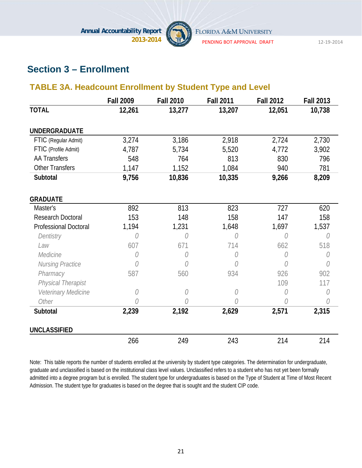

PENDING BOT APPROVAL DRAFT 12‐19‐2014

# **Section 3 – Enrollment**

### **TABLE 3A. Headcount Enrollment by Student Type and Level**

|                              | <b>Fall 2009</b> | <b>Fall 2010</b> | <b>Fall 2011</b> | <b>Fall 2012</b> | <b>Fall 2013</b> |
|------------------------------|------------------|------------------|------------------|------------------|------------------|
| <b>TOTAL</b>                 | 12,261           | 13,277           | 13,207           | 12,051           | 10,738           |
|                              |                  |                  |                  |                  |                  |
| <b>UNDERGRADUATE</b>         |                  |                  |                  |                  |                  |
| FTIC (Regular Admit)         | 3,274            | 3,186            | 2,918            | 2,724            | 2,730            |
| FTIC (Profile Admit)         | 4,787            | 5,734            | 5,520            | 4,772            | 3,902            |
| <b>AA Transfers</b>          | 548              | 764              | 813              | 830              | 796              |
| <b>Other Transfers</b>       | 1,147            | 1,152            | 1,084            | 940              | 781              |
| Subtotal                     | 9,756            | 10,836           | 10,335           | 9,266            | 8,209            |
| <b>GRADUATE</b>              |                  |                  |                  |                  |                  |
| Master's                     | 892              | 813              | 823              | 727              | 620              |
| <b>Research Doctoral</b>     | 153              | 148              | 158              | 147              | 158              |
| <b>Professional Doctoral</b> | 1,194            | 1,231            | 1,648            | 1,697            | 1,537            |
| Dentistry                    | O                | O                | 0                | 0                | O                |
| Law                          | 607              | 671              | 714              | 662              | 518              |
| Medicine                     | O                | O                | 0                | O                | O                |
| Nursing Practice             | 0                | 0                | Ò                | N                | Ŋ                |
| Pharmacy                     | 587              | 560              | 934              | 926              | 902              |
| Physical Therapist           |                  |                  |                  | 109              | 117              |
| Veterinary Medicine          | 0                | 0                | 0                | 0                | 0                |
| Other                        | 0                | 0                | 0                | 0                | O                |
| Subtotal                     | 2,239            | 2,192            | 2,629            | 2,571            | 2,315            |
| <b>UNCLASSIFIED</b>          |                  |                  |                  |                  |                  |
|                              | 266              | 249              | 243              | 214              | 214              |

Note: This table reports the number of students enrolled at the university by student type categories. The determination for undergraduate, graduate and unclassified is based on the institutional class level values. Unclassified refers to a student who has not yet been formally admitted into a degree program but is enrolled. The student type for undergraduates is based on the Type of Student at Time of Most Recent Admission. The student type for graduates is based on the degree that is sought and the student CIP code.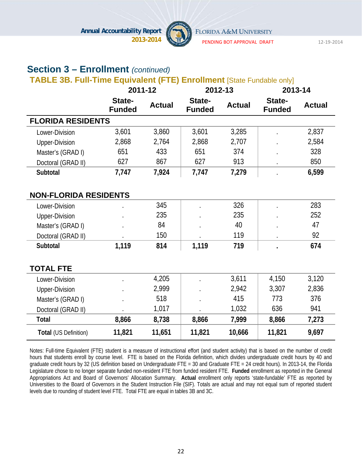

PENDING BOT APPROVAL DRAFT 12‐19‐2014

# **Section 3 – Enrollment** *(continued)*

### **TABLE 3B. Full-Time Equivalent (FTE) Enrollment** [State Fundable only]

|                              | 2011-12                 |               | 2012-13                 |               | 2013-14                 |               |
|------------------------------|-------------------------|---------------|-------------------------|---------------|-------------------------|---------------|
|                              | State-<br><b>Funded</b> | <b>Actual</b> | State-<br><b>Funded</b> | <b>Actual</b> | State-<br><b>Funded</b> | <b>Actual</b> |
| <b>FLORIDA RESIDENTS</b>     |                         |               |                         |               |                         |               |
| Lower-Division               | 3,601                   | 3,860         | 3,601                   | 3,285         |                         | 2,837         |
| <b>Upper-Division</b>        | 2,868                   | 2,764         | 2,868                   | 2,707         |                         | 2,584         |
| Master's (GRAD I)            | 651                     | 433           | 651                     | 374           |                         | 328           |
| Doctoral (GRAD II)           | 627                     | 867           | 627                     | 913           |                         | 850           |
| Subtotal                     | 7,747                   | 7,924         | 7,747                   | 7,279         |                         | 6,599         |
|                              |                         |               |                         |               |                         |               |
| <b>NON-FLORIDA RESIDENTS</b> |                         |               |                         |               |                         |               |
| Lower-Division               |                         | 345           |                         | 326           |                         | 283           |
| <b>Upper-Division</b>        |                         | 235           |                         | 235           |                         | 252           |
| Master's (GRAD I)            |                         | 84            |                         | 40            |                         | 47            |
| Doctoral (GRAD II)           |                         | 150           |                         | 119           |                         | 92            |
| Subtotal                     | 1,119                   | 814           | 1,119                   | 719           |                         | 674           |
|                              |                         |               |                         |               |                         |               |
| <b>TOTAL FTE</b>             |                         |               |                         |               |                         |               |
| Lower-Division               |                         | 4,205         |                         | 3,611         | 4,150                   | 3,120         |
| <b>Upper-Division</b>        |                         | 2,999         |                         | 2,942         | 3,307                   | 2,836         |
| Master's (GRAD I)            |                         | 518           |                         | 415           | 773                     | 376           |
| Doctoral (GRAD II)           |                         | 1,017         |                         | 1,032         | 636                     | 941           |
| <b>Total</b>                 | 8,866                   | 8,738         | 8,866                   | 7,999         | 8,866                   | 7,273         |
| Total (US Definition)        | 11,821                  | 11,651        | 11,821                  | 10,666        | 11,821                  | 9,697         |

Notes: Full-time Equivalent (FTE) student is a measure of instructional effort (and student activity) that is based on the number of credit hours that students enroll by course level. FTE is based on the Florida definition, which divides undergraduate credit hours by 40 and graduate credit hours by 32 (US definition based on Undergraduate FTE = 30 and Graduate FTE = 24 credit hours). In 2013-14, the Florida Legislature chose to no longer separate funded non-resident FTE from funded resident FTE. **Funded** enrollment as reported in the General Appropriations Act and Board of Governors' Allocation Summary. **Actual** enrollment only reports 'state-fundable' FTE as reported by Universities to the Board of Governors in the Student Instruction File (SIF). Totals are actual and may not equal sum of reported student levels due to rounding of student level FTE. Total FTE are equal in tables 3B and 3C.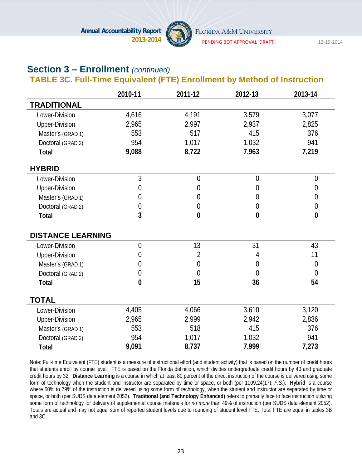

PENDING BOT APPROVAL DRAFT 12‐19‐2014

# **Section 3 – Enrollment** *(continued)*

### **TABLE 3C. Full-Time Equivalent (FTE) Enrollment by Method of Instruction**

|                          | 2010-11        | 2011-12        | 2012-13        | 2013-14        |
|--------------------------|----------------|----------------|----------------|----------------|
| <b>TRADITIONAL</b>       |                |                |                |                |
| Lower-Division           | 4,616          | 4,191          | 3,579          | 3,077          |
| <b>Upper-Division</b>    | 2,965          | 2,997          | 2,937          | 2,825          |
| Master's (GRAD 1)        | 553            | 517            | 415            | 376            |
| Doctoral (GRAD 2)        | 954            | 1,017          | 1,032          | 941            |
| <b>Total</b>             | 9,088          | 8,722          | 7,963          | 7,219          |
| <b>HYBRID</b>            |                |                |                |                |
| Lower-Division           | $\overline{3}$ | $\overline{0}$ | $\overline{0}$ | $\overline{0}$ |
| <b>Upper-Division</b>    | 0              | 0              | 0              | $\overline{0}$ |
| Master's (GRAD 1)        | 0              | 0              | 0              | $\overline{0}$ |
| Doctoral (GRAD 2)        | 0              | $\overline{0}$ | $\overline{0}$ | $\mathbf 0$    |
| <b>Total</b>             | 3              | $\bf{0}$       | $\bf{0}$       | $\bf{0}$       |
| <b>DISTANCE LEARNING</b> |                |                |                |                |
| Lower-Division           | $\overline{0}$ | 13             | 31             | 43             |
| Upper-Division           | 0              | 2              | 4              | 11             |
| Master's (GRAD 1)        | 0              | 0              | 0              | $\overline{0}$ |
| Doctoral (GRAD 2)        | 0              | $\theta$       | $\overline{0}$ | $\overline{0}$ |
| <b>Total</b>             | $\bf{0}$       | 15             | 36             | 54             |
| <b>TOTAL</b>             |                |                |                |                |
| Lower-Division           | 4,405          | 4,066          | 3,610          | 3,120          |
| <b>Upper-Division</b>    | 2,965          | 2,999          | 2,942          | 2,836          |
| Master's (GRAD 1)        | 553            | 518            | 415            | 376            |
| Doctoral (GRAD 2)        | 954            | 1,017          | 1,032          | 941            |
| <b>Total</b>             | 9,091          | 8,737          | 7,999          | 7,273          |

Note: Full-time Equivalent (FTE) student is a measure of instructional effort (and student activity) that is based on the number of credit hours that students enroll by course level. FTE is based on the Florida definition, which divides undergraduate credit hours by 40 and graduate credit hours by 32. **Distance Learning** is a course in which at least 80 percent of the direct instruction of the course is delivered using some form of technology when the student and instructor are separated by time or space, or both (per 1009.24(17), *F.S.*). **Hybrid** is a course where 50% to 79% of the instruction is delivered using some form of technology, when the student and instructor are separated by time or space, or both (per SUDS data element 2052). **Traditional (and Technology Enhanced)** refers to primarily face to face instruction utilizing some form of technology for delivery of supplemental course materials for *no more* than 49% of instruction (per SUDS data element 2052). Totals are actual and may not equal sum of reported student levels due to rounding of student level FTE. Total FTE are equal in tables 3B and 3C.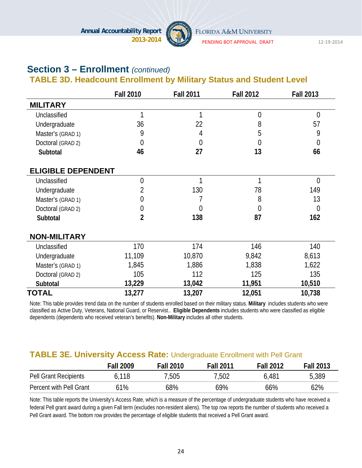

PENDING BOT APPROVAL DRAFT 12‐19‐2014

# **Section 3 – Enrollment** *(continued)*  **TABLE 3D. Headcount Enrollment by Military Status and Student Level**

|                           | <b>Fall 2010</b> | <b>Fall 2011</b> | <b>Fall 2012</b> | <b>Fall 2013</b> |
|---------------------------|------------------|------------------|------------------|------------------|
| <b>MILITARY</b>           |                  |                  |                  |                  |
| Unclassified              | 1                | 1                | $\mathbf 0$      | $\overline{0}$   |
| Undergraduate             | 36               | 22               | 8                | 57               |
| Master's (GRAD 1)         | 9                | 4                | 5                | 9                |
| Doctoral (GRAD 2)         | $\overline{0}$   | 0                | 0                | $\overline{0}$   |
| Subtotal                  | 46               | 27               | 13               | 66               |
| <b>ELIGIBLE DEPENDENT</b> |                  |                  |                  |                  |
| Unclassified              | $\overline{0}$   | 1                | 1                | $\overline{0}$   |
| Undergraduate             | 2                | 130              | 78               | 149              |
| Master's (GRAD 1)         | 0                |                  | 8                | 13               |
| Doctoral (GRAD 2)         | 0                | 0                | $\overline{0}$   | $\overline{0}$   |
| Subtotal                  | $\overline{2}$   | 138              | 87               | 162              |
| <b>NON-MILITARY</b>       |                  |                  |                  |                  |
| Unclassified              | 170              | 174              | 146              | 140              |
| Undergraduate             | 11,109           | 10,870           | 9,842            | 8,613            |
| Master's (GRAD 1)         | 1,845            | 1,886            | 1,838            | 1,622            |
| Doctoral (GRAD 2)         | 105              | 112              | 125              | 135              |
| Subtotal                  | 13,229           | 13,042           | 11,951           | 10,510           |
| <b>TOTAL</b>              | 13,277           | 13,207           | 12,051           | 10,738           |

Note: This table provides trend data on the number of students enrolled based on their military status. **Military** includes students who were classified as Active Duty, Veterans, National Guard, or Reservist.. **Eligible Dependents** includes students who were classified as eligible dependents (dependents who received veteran's benefits). **Non-Military** includes all other students.

#### **TABLE 3E. University Access Rate:** Undergraduate Enrollment with Pell Grant

|                              | <b>Fall 2009</b> | <b>Fall 2010</b> | <b>Fall 2011</b> | <b>Fall 2012</b> | <b>Fall 2013</b> |
|------------------------------|------------------|------------------|------------------|------------------|------------------|
| <b>Pell Grant Recipients</b> | 6.118            | 7,505            | 7,502            | 6,481            | 5,389            |
| Percent with Pell Grant      | 61%              | 68%              | 69%              | 66%              | 62%              |

Note: This table reports the University's Access Rate, which is a measure of the percentage of undergraduate students who have received a federal Pell grant award during a given Fall term (excludes non-resident aliens). The top row reports the number of students who received a Pell Grant award. The bottom row provides the percentage of eligible students that received a Pell Grant award.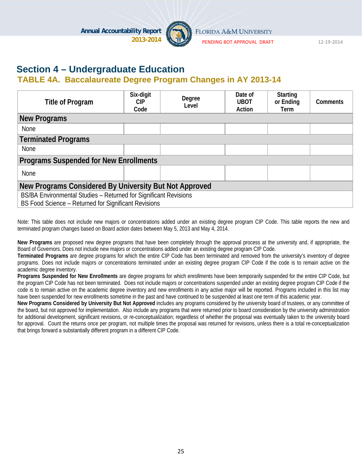

PENDING BOT APPROVAL DRAFT 12‐19‐2014

# **Section 4 – Undergraduate Education**

### **TABLE 4A. Baccalaureate Degree Program Changes in AY 2013-14**

| Title of Program                                                                                                         | Six-digit<br>CIP<br>Code | Degree<br>Level | Date of<br><b>UBOT</b><br>Action | <b>Starting</b><br>or Ending<br><b>Term</b> | <b>Comments</b> |  |  |
|--------------------------------------------------------------------------------------------------------------------------|--------------------------|-----------------|----------------------------------|---------------------------------------------|-----------------|--|--|
| <b>New Programs</b>                                                                                                      |                          |                 |                                  |                                             |                 |  |  |
| <b>None</b>                                                                                                              |                          |                 |                                  |                                             |                 |  |  |
| <b>Terminated Programs</b>                                                                                               |                          |                 |                                  |                                             |                 |  |  |
| <b>None</b>                                                                                                              |                          |                 |                                  |                                             |                 |  |  |
| <b>Programs Suspended for New Enrollments</b>                                                                            |                          |                 |                                  |                                             |                 |  |  |
| None                                                                                                                     |                          |                 |                                  |                                             |                 |  |  |
| New Programs Considered By University But Not Approved                                                                   |                          |                 |                                  |                                             |                 |  |  |
| BS/BA Environmental Studies - Returned for Significant Revisions<br>BS Food Science - Returned for Significant Revisions |                          |                 |                                  |                                             |                 |  |  |

Note: This table does not include new majors or concentrations added under an existing degree program CIP Code. This table reports the new and terminated program changes based on Board action dates between May 5, 2013 and May 4, 2014.

**New Programs** are proposed new degree programs that have been completely through the approval process at the university and, if appropriate, the Board of Governors. Does not include new majors or concentrations added under an existing degree program CIP Code.

**Terminated Programs** are degree programs for which the entire CIP Code has been terminated and removed from the university's inventory of degree programs. Does not include majors or concentrations terminated under an existing degree program CIP Code if the code is to remain active on the academic degree inventory.

**Programs Suspended for New Enrollments** are degree programs for which enrollments have been temporarily suspended for the entire CIP Code, but the program CIP Code has not been terminated. Does not include majors or concentrations suspended under an existing degree program CIP Code if the code is to remain active on the academic degree inventory and new enrollments in any active major will be reported. Programs included in this list may have been suspended for new enrollments sometime in the past and have continued to be suspended at least one term of this academic year.

**New Programs Considered by University But Not Approved** includes any programs considered by the university board of trustees, or any committee of the board, but not approved for implementation. Also include any programs that were returned prior to board consideration by the university administration for additional development, significant revisions, or re-conceptualization; regardless of whether the proposal was eventually taken to the university board for approval. Count the returns once per program, not multiple times the proposal was returned for revisions, unless there is a total re-conceptualization that brings forward a substantially different program in a different CIP Code.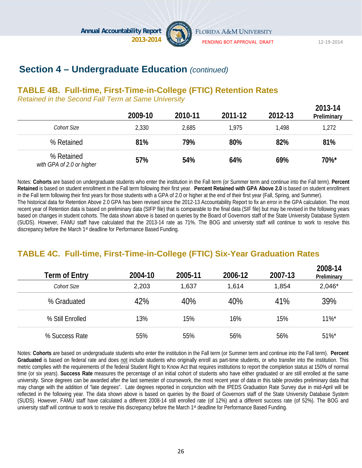

FLORIDA A&M UNIVERSITY

PENDING BOT APPROVAL DRAFT 12‐19‐2014

**2013-14** 

# **Section 4 – Undergraduate Education** *(continued)*

### **TABLE 4B. Full-time, First-Time-in-College (FTIC) Retention Rates**

*Retained in the Second Fall Term at Same University*

|                                         | 2009-10 | 2010-11 | 2011-12 | 2012-13 | <b>2013-14</b><br>Preliminary |
|-----------------------------------------|---------|---------|---------|---------|-------------------------------|
| Cohort Size                             | 2,330   | 2,685   | 1,975   | 1,498   | 1,272                         |
| % Retained                              | 81%     | 79%     | 80%     | 82%     | 81%                           |
| % Retained<br>with GPA of 2.0 or higher | 57%     | 54%     | 64%     | 69%     | 70%*                          |

Notes: **Cohorts** are based on undergraduate students who enter the institution in the Fall term (or Summer term and continue into the Fall term). **Percent Retained** is based on student enrollment in the Fall term following their first year. **Percent Retained with GPA Above 2.0** is based on student enrollment in the Fall term following their first years for those students with a GPA of 2.0 or higher at the end of their first year (Fall, Spring, and Summer). The historical data for Retention Above 2.0 GPA has been revised since the 2012-13 Accountability Report to fix an error in the GPA calculation. The most recent year of Retention data is based on preliminary data (SIFP file) that is comparable to the final data (SIF file) but may be revised in the following years based on changes in student cohorts. The data shown above is based on queries by the Board of Governors staff of the State University Database System (SUDS). However, FAMU staff have calculated that the 2013-14 rate as 71%. The BOG and university staff will continue to work to resolve this discrepancy before the March 1st deadline for Performance Based Funding.

# **TABLE 4C. Full-time, First-Time-in-College (FTIC) Six-Year Graduation Rates**

| Term of Entry    | 2004-10 | 2005-11 | 2006-12 | 2007-13 | 2008-14<br>Preliminary |
|------------------|---------|---------|---------|---------|------------------------|
| Cohort Size      | 2,203   | 1,637   | 1,614   | 1,854   | 2,046*                 |
| % Graduated      | 42%     | 40%     | 40%     | 41%     | 39%                    |
| % Still Enrolled | 13%     | 15%     | 16%     | 15%     | $11\%$ <sup>*</sup>    |
| % Success Rate   | 55%     | 55%     | 56%     | 56%     | $51\%$ *               |

Notes: **Cohorts** are based on undergraduate students who enter the institution in the Fall term (or Summer term and continue into the Fall term). **Percent Graduated** is based on federal rate and does not include students who originally enroll as part-time students, or who transfer into the institution. This metric complies with the requirements of the federal Student Right to Know Act that requires institutions to report the completion status at 150% of normal time (or six years). **Success Rate** measures the percentage of an initial cohort of students who have either graduated or are still enrolled at the same university. Since degrees can be awarded after the last semester of coursework, the most recent year of data in this table provides preliminary data that may change with the addition of "late degrees". Late degrees reported in conjunction with the IPEDS Graduation Rate Survey due in mid-April will be reflected in the following year. The data shown above is based on queries by the Board of Governors staff of the State University Database System (SUDS). However, FAMU staff have calculated a different 2008-14 still enrolled rate (of 12%) and a different success rate (of 52%). The BOG and university staff will continue to work to resolve this discrepancy before the March 1<sup>st</sup> deadline for Performance Based Funding.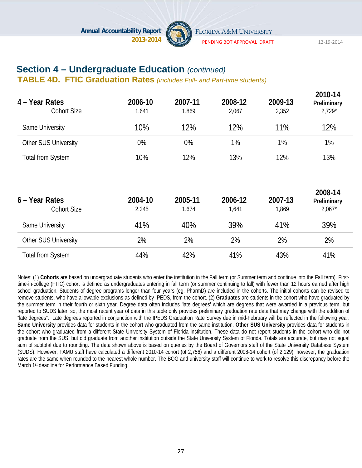

PENDING BOT APPROVAL DRAFT 12‐19‐2014

# **Section 4 – Undergraduate Education** *(continued)*

**TABLE 4D. FTIC Graduation Rates** *(includes Full- and Part-time students)*

| 4 - Year Rates              | 2006-10 | 2007-11 | 2008-12 | 2009-13 | 2010-14<br>Preliminary |
|-----------------------------|---------|---------|---------|---------|------------------------|
| <b>Cohort Size</b>          | 1,641   | 1,869   | 2,067   | 2,352   | $2,729*$               |
| Same University             | 10%     | 12%     | 12%     | 11%     | 12%                    |
| <b>Other SUS University</b> | 0%      | 0%      | 1%      | 1%      | 1%                     |
| <b>Total from System</b>    | 10%     | 12%     | 13%     | 12%     | 13%                    |
| 6 – Year Rates              | 2004-10 | 2005-11 | 2006-12 | 2007-13 | 2008-14<br>Preliminary |
| <b>Cohort Size</b>          | 2,245   | 1,674   | 1,641   | 1,869   | $2,067*$               |
| Same University             | 41%     | 40%     | 39%     | 41%     | 39%                    |
| Other SUS University        | 2%      | 2%      | 2%      | 2%      | 2%                     |
| <b>Total from System</b>    | 44%     | 42%     | 41%     | 43%     | 41%                    |

Notes: (1) **Cohorts** are based on undergraduate students who enter the institution in the Fall term (or Summer term and continue into the Fall term). Firsttime-in-college (FTIC) cohort is defined as undergraduates entering in fall term (or summer continuing to fall) with fewer than 12 hours earned after high school graduation. Students of degree programs longer than four years (eg, PharmD) are included in the cohorts. The initial cohorts can be revised to remove students, who have allowable exclusions as defined by IPEDS, from the cohort. (2) **Graduates** are students in the cohort who have graduated by the summer term in their fourth or sixth year. Degree data often includes 'late degrees' which are degrees that were awarded in a previous term, but reported to SUDS later; so, the most recent year of data in this table only provides preliminary graduation rate data that may change with the addition of "late degrees". Late degrees reported in conjunction with the IPEDS Graduation Rate Survey due in mid-February will be reflected in the following year. **Same University** provides data for students in the cohort who graduated from the same institution. **Other SUS University** provides data for students in the cohort who graduated from a different State University System of Florida institution. These data do not report students in the cohort who did not graduate from the SUS, but did graduate from another institution outside the State University System of Florida. Totals are accurate, but may not equal sum of subtotal due to rounding. The data shown above is based on queries by the Board of Governors staff of the State University Database System (SUDS). However, FAMU staff have calculated a different 2010-14 cohort (of 2,756) and a different 2008-14 cohort (of 2,129), however, the graduation rates are the same when rounded to the nearest whole number. The BOG and university staff will continue to work to resolve this discrepancy before the March 1st deadline for Performance Based Funding.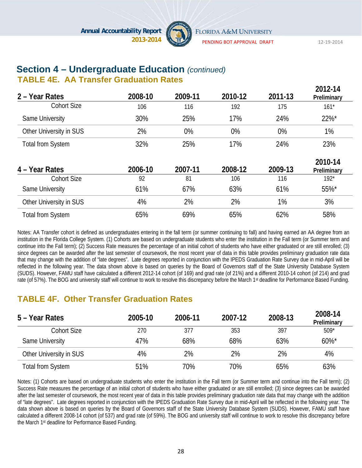

PENDING BOT APPROVAL DRAFT 12‐19‐2014

**2012-14** 

# **Section 4 – Undergraduate Education** *(continued)*

#### **TABLE 4E. AA Transfer Graduation Rates**

| 2 – Year Rates           | 2008-10 | 2009-11 | 2010-12 | 2011-13 | ZU 1 Z - 14<br>Preliminary |
|--------------------------|---------|---------|---------|---------|----------------------------|
| <b>Cohort Size</b>       | 106     | 116     | 192     | 175     | $161*$                     |
| Same University          | 30%     | 25%     | 17%     | 24%     | 22%*                       |
| Other University in SUS  | 2%      | 0%      | 0%      | 0%      | 1%                         |
| <b>Total from System</b> | 32%     | 25%     | 17%     | 24%     | 23%                        |
| 4 – Year Rates           | 2006-10 | 2007-11 | 2008-12 | 2009-13 | 2010-14<br>Preliminary     |
| <b>Cohort Size</b>       | 92      | 81      | 106     | 116     | $192*$                     |
| Same University          | 61%     | 67%     | 63%     | 61%     | 55%*                       |
| Other University in SUS  | 4%      | 2%      | 2%      | 1%      | 3%                         |
| <b>Total from System</b> | 65%     | 69%     | 65%     | 62%     | 58%                        |

Notes: AA Transfer cohort is defined as undergraduates entering in the fall term (or summer continuing to fall) and having earned an AA degree from an institution in the Florida College System. (1) Cohorts are based on undergraduate students who enter the institution in the Fall term (or Summer term and continue into the Fall term); (2) Success Rate measures the percentage of an initial cohort of students who have either graduated or are still enrolled; (3) since degrees can be awarded after the last semester of coursework, the most recent year of data in this table provides preliminary graduation rate data that may change with the addition of "late degrees". Late degrees reported in conjunction with the IPEDS Graduation Rate Survey due in mid-April will be reflected in the following year. The data shown above is based on queries by the Board of Governors staff of the State University Database System (SUDS). However, FAMU staff have calculated a different 2012-14 cohort (of 169) and grad rate (of 21%) and a different 2010-14 cohort (of 214) and grad rate (of 57%). The BOG and university staff will continue to work to resolve this discrepancy before the March 1<sup>st</sup> deadline for Performance Based Funding.

# **TABLE 4F. Other Transfer Graduation Rates**

| 5 – Year Rates           | 2005-10 | 2006-11 | 2007-12 | 2008-13 | 2008-14<br>Preliminary |
|--------------------------|---------|---------|---------|---------|------------------------|
| Cohort Size              | 270     | 377     | 353     | 397     | $509*$                 |
| Same University          | 47%     | 68%     | 68%     | 63%     | $60\%$ *               |
| Other University in SUS  | 4%      | 2%      | 2%      | 2%      | 4%                     |
| <b>Total from System</b> | 51%     | 70%     | 70%     | 65%     | 63%                    |

Notes: (1) Cohorts are based on undergraduate students who enter the institution in the Fall term (or Summer term and continue into the Fall term); (2) Success Rate measures the percentage of an initial cohort of students who have either graduated or are still enrolled; (3) since degrees can be awarded after the last semester of coursework, the most recent year of data in this table provides preliminary graduation rate data that may change with the addition of "late degrees". Late degrees reported in conjunction with the IPEDS Graduation Rate Survey due in mid-April will be reflected in the following year. The data shown above is based on queries by the Board of Governors staff of the State University Database System (SUDS). However, FAMU staff have calculated a different 2008-14 cohort (of 537) and grad rate (of 59%). The BOG and university staff will continue to work to resolve this discrepancy before the March 1st deadline for Performance Based Funding.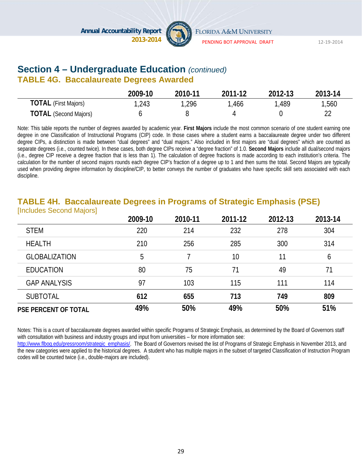

# **Section 4 – Undergraduate Education** *(continued)*

### **TABLE 4G. Baccalaureate Degrees Awarded**

|                              | 2009-10 | 2010-11 | 2011-12 | 2012-13 | 2013-14 |
|------------------------------|---------|---------|---------|---------|---------|
| <b>TOTAL</b> (First Majors)  | 1,243   | ,296    | ,466    | ,489    | 1,560   |
| <b>TOTAL</b> (Second Majors) |         |         |         |         |         |

Note: This table reports the number of degrees awarded by academic year. **First Majors** include the most common scenario of one student earning one degree in one Classification of Instructional Programs (CIP) code. In those cases where a student earns a baccalaureate degree under two different degree CIPs, a distinction is made between "dual degrees" and "dual majors." Also included in first majors are "dual degrees" which are counted as separate degrees (i.e., counted twice). In these cases, both degree CIPs receive a "degree fraction" of 1.0. **Second Majors** include all dual/second majors (i.e., degree CIP receive a degree fraction that is less than 1). The calculation of degree fractions is made according to each institution's criteria. The calculation for the number of second majors rounds each degree CIP's fraction of a degree up to 1 and then sums the total. Second Majors are typically used when providing degree information by discipline/CIP, to better conveys the number of graduates who have specific skill sets associated with each discipline.

#### **TABLE 4H. Baccalaureate Degrees in Programs of Strategic Emphasis (PSE)**  [Includes Second Majors]

|                             | 2009-10 | 2010-11 | 2011-12 | 2012-13 | 2013-14 |
|-----------------------------|---------|---------|---------|---------|---------|
| <b>STEM</b>                 | 220     | 214     | 232     | 278     | 304     |
| <b>HEALTH</b>               | 210     | 256     | 285     | 300     | 314     |
| <b>GLOBALIZATION</b>        | 5       |         | 10      | 11      | 6       |
| <b>EDUCATION</b>            | 80      | 75      | 71      | 49      | 71      |
| <b>GAP ANALYSIS</b>         | 97      | 103     | 115     | 111     | 114     |
| <b>SUBTOTAL</b>             | 612     | 655     | 713     | 749     | 809     |
| <b>PSE PERCENT OF TOTAL</b> | 49%     | 50%     | 49%     | 50%     | 51%     |

Notes: This is a count of baccalaureate degrees awarded within specific Programs of Strategic Emphasis, as determined by the Board of Governors staff with consultation with business and industry groups and input from universities – for more information see:

http://www.flbog.edu/pressroom/strategic\_emphasis/. The Board of Governors revised the list of Programs of Strategic Emphasis in November 2013, and the new categories were applied to the historical degrees. A student who has multiple majors in the subset of targeted Classification of Instruction Program codes will be counted twice (i.e., double-majors are included).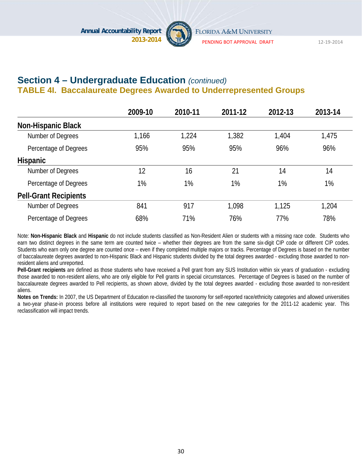

PENDING BOT APPROVAL DRAFT 12‐19‐2014

### **Section 4 – Undergraduate Education** *(continued)* **TABLE 4I. Baccalaureate Degrees Awarded to Underrepresented Groups**

|                              | 2009-10 | 2010-11 | 2011-12 | 2012-13 | 2013-14 |
|------------------------------|---------|---------|---------|---------|---------|
| <b>Non-Hispanic Black</b>    |         |         |         |         |         |
| Number of Degrees            | 1,166   | 1,224   | 1,382   | 1,404   | 1,475   |
| Percentage of Degrees        | 95%     | 95%     | 95%     | 96%     | 96%     |
| <b>Hispanic</b>              |         |         |         |         |         |
| Number of Degrees            | 12      | 16      | 21      | 14      | 14      |
| Percentage of Degrees        | 1%      | 1%      | 1%      | 1%      | 1%      |
| <b>Pell-Grant Recipients</b> |         |         |         |         |         |
| Number of Degrees            | 841     | 917     | 1,098   | 1,125   | 1,204   |
| Percentage of Degrees        | 68%     | 71%     | 76%     | 77%     | 78%     |

Note: **Non-Hispanic Black** and **Hispanic** do not include students classified as Non-Resident Alien or students with a missing race code. Students who earn two distinct degrees in the same term are counted twice – whether their degrees are from the same six-digit CIP code or different CIP codes. Students who earn only one degree are counted once – even if they completed multiple majors or tracks. Percentage of Degrees is based on the number of baccalaureate degrees awarded to non-Hispanic Black and Hispanic students divided by the total degrees awarded - excluding those awarded to nonresident aliens and unreported.

**Pell-Grant recipients** are defined as those students who have received a Pell grant from any SUS Institution within six years of graduation - excluding those awarded to non-resident aliens, who are only eligible for Pell grants in special circumstances. Percentage of Degrees is based on the number of baccalaureate degrees awarded to Pell recipients, as shown above, divided by the total degrees awarded - excluding those awarded to non-resident aliens.

**Notes on Trends:** In 2007, the US Department of Education re-classified the taxonomy for self-reported race/ethnicity categories and allowed universities a two-year phase-in process before all institutions were required to report based on the new categories for the 2011-12 academic year. This reclassification will impact trends.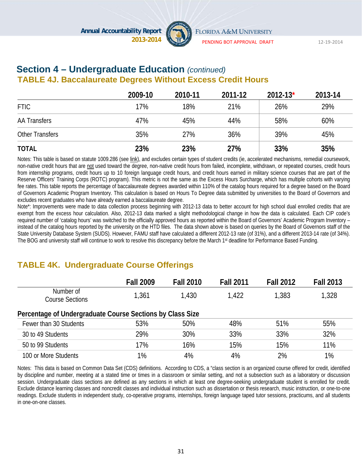

PENDING BOT APPROVAL DRAFT 12‐19‐2014

#### **Section 4 – Undergraduate Education** *(continued)*  **TABLE 4J. Baccalaureate Degrees Without Excess Credit Hours**

|                        | 2009-10 | 2010-11 | 2011-12 | $2012 - 13*$ | 2013-14 |
|------------------------|---------|---------|---------|--------------|---------|
| <b>FTIC</b>            | 17%     | 18%     | 21%     | 26%          | 29%     |
| <b>AA Transfers</b>    | 47%     | 45%     | 44%     | 58%          | 60%     |
| <b>Other Transfers</b> | 35%     | 27%     | 36%     | 39%          | 45%     |
| <b>TOTAL</b>           | 23%     | 23%     | 27%     | 33%          | 35%     |

Notes: This table is based on statute 1009.286 (see link), and excludes certain types of student credits (ie, accelerated mechanisms, remedial coursework, non-native credit hours that are not used toward the degree, non-native credit hours from failed, incomplete, withdrawn, or repeated courses, credit hours from internship programs, credit hours up to 10 foreign language credit hours, and credit hours earned in military science courses that are part of the Reserve Officers' Training Corps (ROTC) program). This metric is not the same as the Excess Hours Surcharge, which has multiple cohorts with varying fee rates. This table reports the percentage of baccalaureate degrees awarded within 110% of the catalog hours required for a degree based on the Board of Governors Academic Program Inventory. This calculation is based on Hours To Degree data submitted by universities to the Board of Governors and excludes recent graduates who have already earned a baccalaureate degree.

Note\*: Improvements were made to data collection process beginning with 2012-13 data to better account for high school dual enrolled credits that are exempt from the excess hour calculation. Also, 2012-13 data marked a slight methodological change in how the data is calculated. Each CIP code's required number of 'catalog hours' was switched to the officially approved hours as reported within the Board of Governors' Academic Program Inventory – instead of the catalog hours reported by the university on the HTD files. The data shown above is based on queries by the Board of Governors staff of the State University Database System (SUDS). However, FAMU staff have calculated a different 2012-13 rate (of 31%), and a different 2013-14 rate (of 34%). The BOG and university staff will continue to work to resolve this discrepancy before the March 1st deadline for Performance Based Funding.

# **TABLE 4K. Undergraduate Course Offerings**

|                                                           | <b>Fall 2009</b> | <b>Fall 2010</b> | <b>Fall 2011</b> | <b>Fall 2012</b> | <b>Fall 2013</b> |
|-----------------------------------------------------------|------------------|------------------|------------------|------------------|------------------|
| Number of<br><b>Course Sections</b>                       | 1,361            | 1,430            | 1.422            | 1,383            | 1,328            |
| Percentage of Undergraduate Course Sections by Class Size |                  |                  |                  |                  |                  |
| Fewer than 30 Students                                    | 53%              | 50%              | 48%              | 51%              | 55%              |
| 30 to 49 Students                                         | 29%              | 30%              | 33%              | 33%              | 32%              |
| 50 to 99 Students                                         | 17%              | 16%              | 15%              | 15%              | 11%              |
| 100 or More Students                                      | 1%               | 4%               | 4%               | 2%               | 1%               |

Notes: This data is based on Common Data Set (CDS) definitions. According to CDS, a "class section is an organized course offered for credit, identified by discipline and number, meeting at a stated time or times in a classroom or similar setting, and not a subsection such as a laboratory or discussion session. Undergraduate class sections are defined as any sections in which at least one degree-seeking undergraduate student is enrolled for credit. Exclude distance learning classes and noncredit classes and individual instruction such as dissertation or thesis research, music instruction, or one-to-one readings. Exclude students in independent study, co-operative programs, internships, foreign language taped tutor sessions, practicums, and all students in one-on-one classes.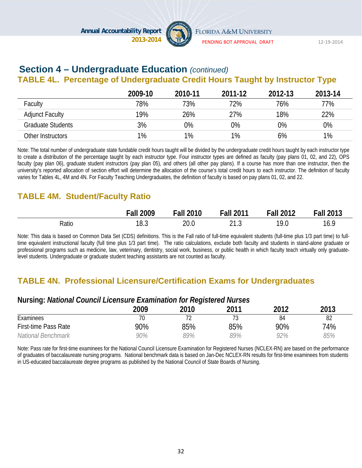

PENDING BOT APPROVAL DRAFT 12‐19‐2014

# **Section 4 – Undergraduate Education** *(continued)*

# **TABLE 4L. Percentage of Undergraduate Credit Hours Taught by Instructor Type**

|                          | 2009-10 | 2010-11 | 2011-12 | 2012-13 | 2013-14 |
|--------------------------|---------|---------|---------|---------|---------|
| Faculty                  | 78%     | 73%     | 72%     | 76%     | 77%     |
| <b>Adjunct Faculty</b>   | 19%     | 26%     | 27%     | 18%     | 22%     |
| <b>Graduate Students</b> | 3%      | 0%      | 0%      | 0%      | $0\%$   |
| Other Instructors        | 1%      | 1%      | 1%      | 6%      | $1\%$   |

Note: The total number of undergraduate state fundable credit hours taught will be divided by the undergraduate credit hours taught by each instructor type to create a distribution of the percentage taught by each instructor type. Four instructor types are defined as faculty (pay plans 01, 02, and 22), OPS faculty (pay plan 06), graduate student instructors (pay plan 05), and others (all other pay plans). If a course has more than one instructor, then the university's reported allocation of section effort will determine the allocation of the course's total credit hours to each instructor. The definition of faculty varies for Tables 4L, 4M and 4N. For Faculty Teaching Undergraduates, the definition of faculty is based on pay plans 01, 02, and 22.

### **TABLE 4M. Student/Faculty Ratio**

|       | 2009<br>Fall | <b>Fall 2010</b> | <b>Fall 2011</b>          | <b>Fall 2012</b> | <b>Fall 2013</b> |
|-------|--------------|------------------|---------------------------|------------------|------------------|
| Ratio | 18.3         | 20.0             | $\sim$ 1 $\sim$<br>ن ۱۰ ک | 19.0             | 11 C<br>10.      |

Note: This data is based on Common Data Set (CDS) definitions. This is the Fall ratio of full-time equivalent students (full-time plus 1/3 part time) to fulltime equivalent instructional faculty (full time plus 1/3 part time). The ratio calculations, exclude both faculty and students in stand-alone graduate or professional programs such as medicine, law, veterinary, dentistry, social work, business, or public health in which faculty teach virtually only graduatelevel students. Undergraduate or graduate student teaching assistants are not counted as faculty.

# **TABLE 4N. Professional Licensure/Certification Exams for Undergraduates**

#### **Nursing:** *National Council Licensure Examination for Registered Nurses*

| ັ                           |      | ັ    |      |      |      |
|-----------------------------|------|------|------|------|------|
|                             | 2009 | 2010 | 2011 | 2012 | 2013 |
| Examinees                   | 70   | . .  |      | 84   | 82   |
| <b>First-time Pass Rate</b> | 90%  | 85%  | 85%  | 90%  | 74%  |
| National Benchmark          | 90%  | 99%  | 89%  | 92%  | 85%  |

Note: Pass rate for first-time examinees for the National Council Licensure Examination for Registered Nurses (NCLEX-RN) are based on the performance of graduates of baccalaureate nursing programs. National benchmark data is based on Jan-Dec NCLEX-RN results for first-time examinees from students in US-educated baccalaureate degree programs as published by the National Council of State Boards of Nursing.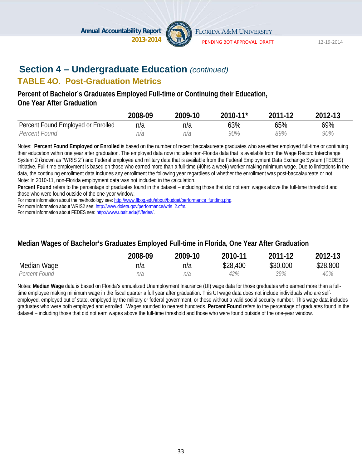

PENDING BOT APPROVAL DRAFT 12‐19‐2014

# **Section 4 – Undergraduate Education** *(continued)*

#### **TABLE 4O. Post-Graduation Metrics**

#### **Percent of Bachelor's Graduates Employed Full-time or Continuing their Education, One Year After Graduation**

|                                    | 2008-09 | 2009-10 | 2010-11* | 2011-12 | 2012-13 |
|------------------------------------|---------|---------|----------|---------|---------|
| Percent Found Employed or Enrolled | n/a     | n/a     | 63%      | 65%     | 69%     |
| Percent Found                      | n/a     | n/a     | 90%      | 89%     | 90%     |

Notes: **Percent Found Employed or Enrolled** is based on the number of recent baccalaureate graduates who are either employed full-time or continuing their education within one year after graduation. The employed data now includes non-Florida data that is available from the Wage Record Interchange System 2 (known as "WRIS 2") and Federal employee and military data that is available from the Federal Employment Data Exchange System (FEDES) initiative. Full-time employment is based on those who earned more than a full-time (40hrs a week) worker making minimum wage. Due to limitations in the data, the continuing enrollment data includes any enrollment the following year regardless of whether the enrollment was post-baccalaureate or not. Note: In 2010-11, non-Florida employment data was not included in the calculation.

**Percent Found** refers to the percentage of graduates found in the dataset – including those that did not earn wages above the full-time threshold and those who were found outside of the one-year window.

For more information about the methodology see: http://www.flbog.edu/about/budget/performance\_funding.php.

For more information about WRIS2 see: http://www.doleta.gov/performance/wris\_2.cfm.

For more information about FEDES see: http://www.ubalt.edu/jfi/fedes/.

#### **Median Wages of Bachelor's Graduates Employed Full-time in Florida, One Year After Graduation**

|               | 2008-09 | 2009-10 | 2010-11  | 2011-12  | 2012-13  |
|---------------|---------|---------|----------|----------|----------|
| Median Wage   | n/a     | n/a     | \$28,400 | \$30,000 | \$28,800 |
| Percent Found | n/a     | n/a     | 42%      | 39%      | 40%      |

Notes: **Median Wage** data is based on Florida's annualized Unemployment Insurance (UI) wage data for those graduates who earned more than a fulltime employee making minimum wage in the fiscal quarter a full year after graduation. This UI wage data does not include individuals who are selfemployed, employed out of state, employed by the military or federal government, or those without a valid social security number. This wage data includes graduates who were both employed and enrolled. Wages rounded to nearest hundreds. **Percent Found** refers to the percentage of graduates found in the dataset – including those that did not earn wages above the full-time threshold and those who were found outside of the one-year window.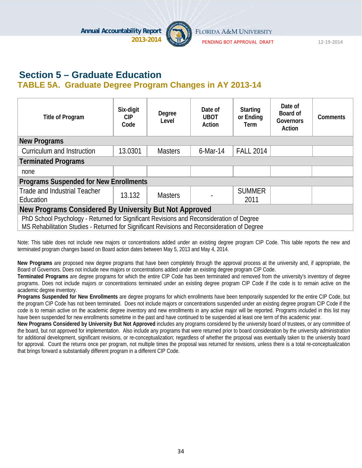

PENDING BOT APPROVAL DRAFT 12‐19‐2014

# **Section 5 – Graduate Education TABLE 5A. Graduate Degree Program Changes in AY 2013-14**

| Title of Program                                                                                                                                                                         | Six-digit<br><b>CIP</b><br>Code | Degree<br>Level | Date of<br><b>UBOT</b><br>Action | <b>Starting</b><br>or Ending<br>Term | Date of<br>Board of<br>Governors<br>Action | <b>Comments</b> |  |  |
|------------------------------------------------------------------------------------------------------------------------------------------------------------------------------------------|---------------------------------|-----------------|----------------------------------|--------------------------------------|--------------------------------------------|-----------------|--|--|
| <b>New Programs</b>                                                                                                                                                                      |                                 |                 |                                  |                                      |                                            |                 |  |  |
| Curriculum and Instruction                                                                                                                                                               | 13.0301                         | <b>Masters</b>  | $6$ -Mar-14                      | <b>FALL 2014</b>                     |                                            |                 |  |  |
| <b>Terminated Programs</b>                                                                                                                                                               |                                 |                 |                                  |                                      |                                            |                 |  |  |
| none                                                                                                                                                                                     |                                 |                 |                                  |                                      |                                            |                 |  |  |
| <b>Programs Suspended for New Enrollments</b>                                                                                                                                            |                                 |                 |                                  |                                      |                                            |                 |  |  |
| <b>Trade and Industrial Teacher</b><br>Education                                                                                                                                         | 13.132                          | <b>Masters</b>  |                                  | <b>SUMMER</b><br>2011                |                                            |                 |  |  |
| New Programs Considered By University But Not Approved                                                                                                                                   |                                 |                 |                                  |                                      |                                            |                 |  |  |
| PhD School Psychology - Returned for Significant Revisions and Reconsideration of Degree<br>MS Rehabilitation Studies - Returned for Significant Revisions and Reconsideration of Degree |                                 |                 |                                  |                                      |                                            |                 |  |  |

Note: This table does not include new majors or concentrations added under an existing degree program CIP Code. This table reports the new and terminated program changes based on Board action dates between May 5, 2013 and May 4, 2014.

**New Programs** are proposed new degree programs that have been completely through the approval process at the university and, if appropriate, the Board of Governors. Does not include new majors or concentrations added under an existing degree program CIP Code.

**Terminated Programs** are degree programs for which the entire CIP Code has been terminated and removed from the university's inventory of degree programs. Does not include majors or concentrations terminated under an existing degree program CIP Code if the code is to remain active on the academic degree inventory.

**Programs Suspended for New Enrollments** are degree programs for which enrollments have been temporarily suspended for the entire CIP Code, but the program CIP Code has not been terminated. Does not include majors or concentrations suspended under an existing degree program CIP Code if the code is to remain active on the academic degree inventory and new enrollments in any active major will be reported. Programs included in this list may have been suspended for new enrollments sometime in the past and have continued to be suspended at least one term of this academic year.

**New Programs Considered by University But Not Approved** includes any programs considered by the university board of trustees, or any committee of the board, but not approved for implementation. Also include any programs that were returned prior to board consideration by the university administration for additional development, significant revisions, or re-conceptualization; regardless of whether the proposal was eventually taken to the university board for approval. Count the returns once per program, not multiple times the proposal was returned for revisions, unless there is a total re-conceptualization that brings forward a substantially different program in a different CIP Code.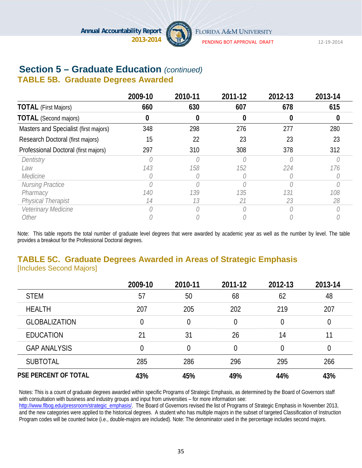

PENDING BOT APPROVAL DRAFT 12‐19‐2014

# **Section 5 – Graduate Education** *(continued)*

# **TABLE 5B. Graduate Degrees Awarded**

|                                       | 2009-10 | 2010-11 | 2011-12 | 2012-13 | 2013-14 |
|---------------------------------------|---------|---------|---------|---------|---------|
| <b>TOTAL</b> (First Majors)           | 660     | 630     | 607     | 678     | 615     |
| <b>TOTAL</b> (Second majors)          |         | 0       | 0       |         |         |
| Masters and Specialist (first majors) | 348     | 298     | 276     | 277     | 280     |
| Research Doctoral (first majors)      | 15      | 22      | 23      | 23      | 23      |
| Professional Doctoral (first majors)  | 297     | 310     | 308     | 378     | 312     |
| Dentistry                             |         |         |         |         |         |
| Law                                   | 143     | 158     | 152     | 224     | 176     |
| Medicine                              |         |         |         |         |         |
| Nursing Practice                      |         |         |         |         |         |
| Pharmacy                              | 140     | 139     | 135     | 131     | 108     |
| <b>Physical Therapist</b>             | 14      | 13      | 21      | 23      | 28      |
| Veterinary Medicine                   |         |         |         |         |         |
| Other                                 |         |         |         |         |         |

Note: This table reports the total number of graduate level degrees that were awarded by academic year as well as the number by level. The table provides a breakout for the Professional Doctoral degrees.

### **TABLE 5C. Graduate Degrees Awarded in Areas of Strategic Emphasis**  [Includes Second Majors]

|                             | 2009-10 | 2010-11 | 2011-12        | 2012-13 | 2013-14 |
|-----------------------------|---------|---------|----------------|---------|---------|
| <b>STEM</b>                 | 57      | 50      | 68             | 62      | 48      |
| <b>HEALTH</b>               | 207     | 205     | 202            | 219     | 207     |
| <b>GLOBALIZATION</b>        | 0       | 0       | 0              | 0       | 0       |
| <b>EDUCATION</b>            | 21      | 31      | 26             | 14      | 11      |
| <b>GAP ANALYSIS</b>         | 0       | 0       | $\overline{0}$ | 0       | 0       |
| <b>SUBTOTAL</b>             | 285     | 286     | 296            | 295     | 266     |
| <b>PSE PERCENT OF TOTAL</b> | 43%     | 45%     | 49%            | 44%     | 43%     |

Notes: This is a count of graduate degrees awarded within specific Programs of Strategic Emphasis, as determined by the Board of Governors staff with consultation with business and industry groups and input from universities – for more information see:

http://www.flbog.edu/pressroom/strategic\_emphasis/. The Board of Governors revised the list of Programs of Strategic Emphasis in November 2013, and the new categories were applied to the historical degrees. A student who has multiple majors in the subset of targeted Classification of Instruction Program codes will be counted twice (i.e., double-majors are included). Note: The denominator used in the percentage includes second majors.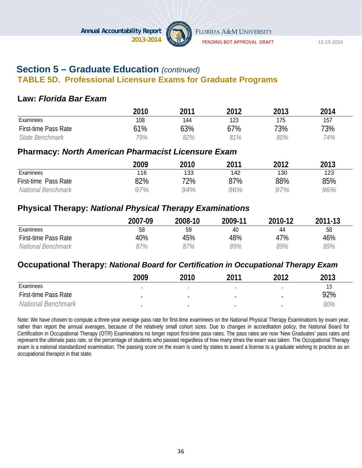

PENDING BOT APPROVAL DRAFT 12‐19‐2014

### **Section 5 – Graduate Education** *(continued)*  **TABLE 5D. Professional Licensure Exams for Graduate Programs**

#### **Law:** *Florida Bar Exam*

|                      | 2010 | 2011 | 2012 | 2013 | 2014 |
|----------------------|------|------|------|------|------|
| Examinees            | 108  | 144  | 123  | 175  | 157  |
| First-time Pass Rate | 61%  | 63%  | 67%  | 73%  | 73%  |
| State Benchmark      | 79%  | 82%  | 91%  | 80%  | 74%  |

#### **Pharmacy:** *North American Pharmacist Licensure Exam*

|                      | 2009 | 2010 | 2011 | 2012 | 2013 |
|----------------------|------|------|------|------|------|
| Examinees            | 116  | 133  | 142  | 130  | 123  |
| First-time Pass Rate | 82%  | 72%  | 87%  | 88%  | 85%  |
| National Benchmark   | 97%  | 94%  | 96%  | 97%  | 96%  |

### **Physical Therapy:** *National Physical Therapy Examinations*

|                      | 2007-09 | 2008-10 | 2009-11 | 2010-12 | 2011-13 |
|----------------------|---------|---------|---------|---------|---------|
| Examinees            | 58      | 59      | 40      | 44      | 58      |
| First-time Pass Rate | 40%     | 45%     | 48%     | 47%     | 46%     |
| National Benchmark   | 37%     | 37%     | 39%     | 89%     | 89%     |

#### **Occupational Therapy:** *National Board for Certification in Occupational Therapy Exam*

|                             | 2009 | 2010 | 2011 | າ∩1າ | 2013 |
|-----------------------------|------|------|------|------|------|
| Examinees                   |      |      |      |      | 13   |
| <b>First-time Pass Rate</b> |      |      |      |      | 92%  |
| National Benchmark          |      |      |      |      | 80%  |

Note: We have chosen to compute a three-year average pass rate for first-time examinees on the National Physical Therapy Examinations by exam year, rather than report the annual averages, because of the relatively small cohort sizes. Due to changes in accreditation policy, the National Board for Certification in Occupational Therapy (OTR) Examinations no longer report first-time pass rates. The pass rates are now 'New Graduates' pass rates and represent the ultimate pass rate, or the percentage of students who passed regardless of how many times the exam was taken. The Occupational Therapy exam is a national standardized examination. The passing score on the exam is used by states to award a license to a graduate wishing to practice as an occupational therapist in that state.